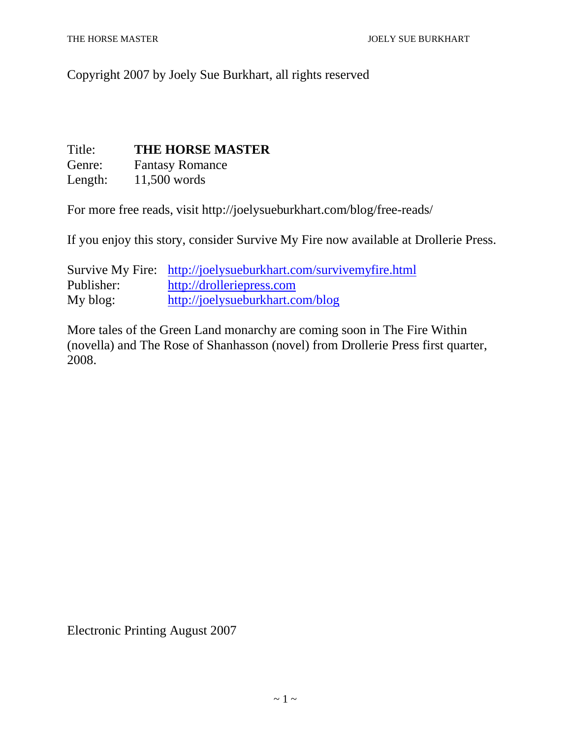Copyright 2007 by Joely Sue Burkhart, all rights reserved

# Title: **THE HORSE MASTER**

Genre: Fantasy Romance Length: 11,500 words

For more free reads, visit http://joelysueburkhart.com/blog/free-reads/

If you enjoy this story, consider Survive My Fire now available at Drollerie Press.

|            | Survive My Fire: http://joelysueburkhart.com/survivemyfire.html |
|------------|-----------------------------------------------------------------|
| Publisher: | http://drolleriepress.com                                       |
| My blog:   | http://joelysueburkhart.com/blog                                |

More tales of the Green Land monarchy are coming soon in The Fire Within (novella) and The Rose of Shanhasson (novel) from Drollerie Press first quarter, 2008.

Electronic Printing August 2007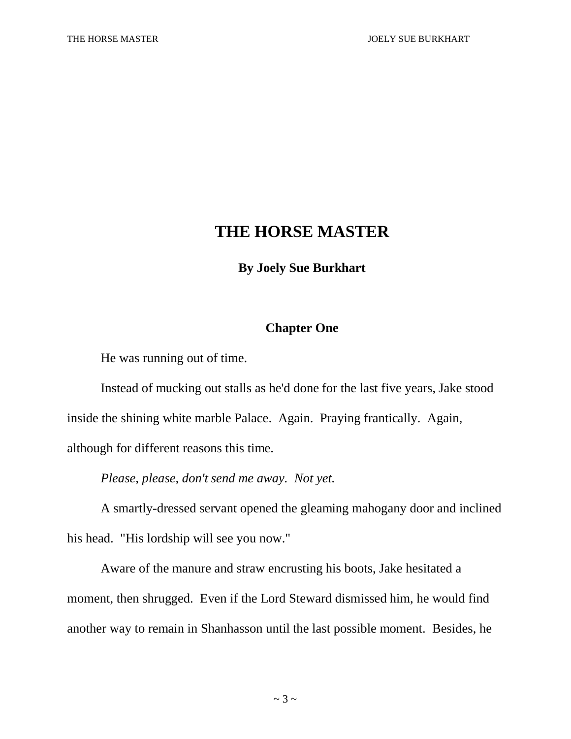# **THE HORSE MASTER**

### **By Joely Sue Burkhart**

## **Chapter One**

He was running out of time.

Instead of mucking out stalls as he'd done for the last five years, Jake stood inside the shining white marble Palace. Again. Praying frantically. Again, although for different reasons this time.

*Please, please, don't send me away. Not yet.*

A smartly-dressed servant opened the gleaming mahogany door and inclined his head. "His lordship will see you now."

Aware of the manure and straw encrusting his boots, Jake hesitated a moment, then shrugged. Even if the Lord Steward dismissed him, he would find another way to remain in Shanhasson until the last possible moment. Besides, he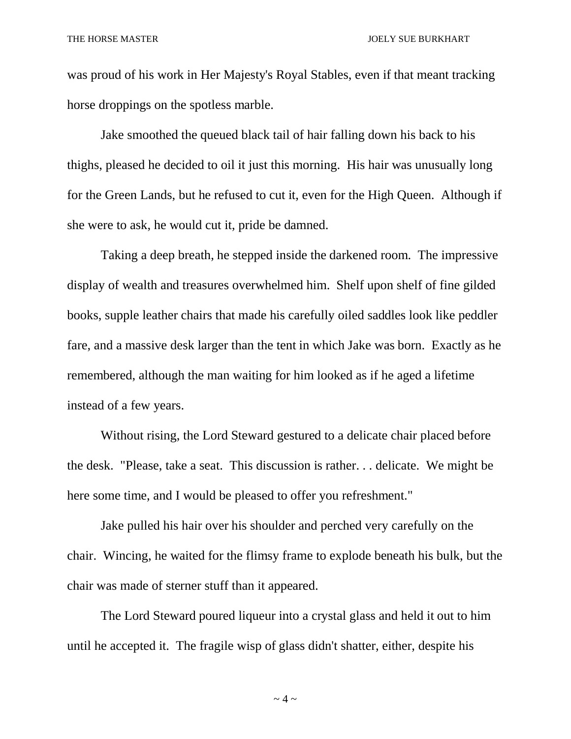was proud of his work in Her Majesty's Royal Stables, even if that meant tracking horse droppings on the spotless marble.

Jake smoothed the queued black tail of hair falling down his back to his thighs, pleased he decided to oil it just this morning. His hair was unusually long for the Green Lands, but he refused to cut it, even for the High Queen. Although if she were to ask, he would cut it, pride be damned.

Taking a deep breath, he stepped inside the darkened room. The impressive display of wealth and treasures overwhelmed him. Shelf upon shelf of fine gilded books, supple leather chairs that made his carefully oiled saddles look like peddler fare, and a massive desk larger than the tent in which Jake was born. Exactly as he remembered, although the man waiting for him looked as if he aged a lifetime instead of a few years.

Without rising, the Lord Steward gestured to a delicate chair placed before the desk. "Please, take a seat. This discussion is rather. . . delicate. We might be here some time, and I would be pleased to offer you refreshment."

Jake pulled his hair over his shoulder and perched very carefully on the chair. Wincing, he waited for the flimsy frame to explode beneath his bulk, but the chair was made of sterner stuff than it appeared.

The Lord Steward poured liqueur into a crystal glass and held it out to him until he accepted it. The fragile wisp of glass didn't shatter, either, despite his

 $\sim$  4  $\sim$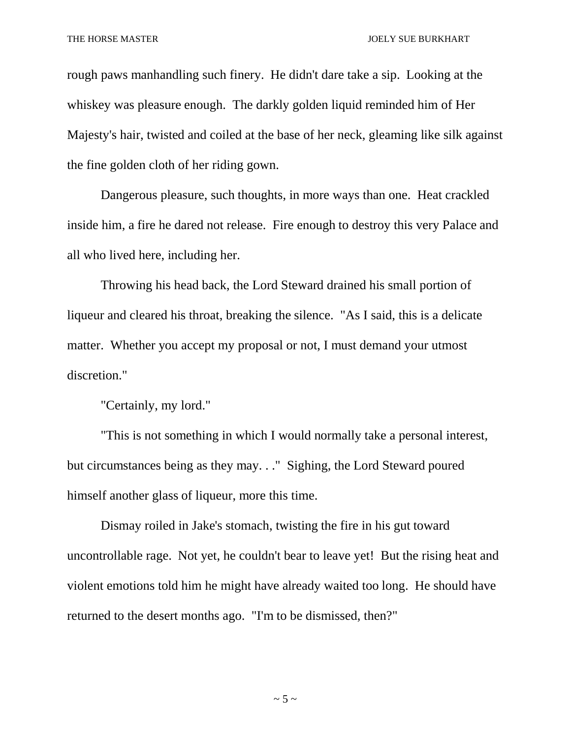rough paws manhandling such finery. He didn't dare take a sip. Looking at the whiskey was pleasure enough. The darkly golden liquid reminded him of Her Majesty's hair, twisted and coiled at the base of her neck, gleaming like silk against the fine golden cloth of her riding gown.

Dangerous pleasure, such thoughts, in more ways than one. Heat crackled inside him, a fire he dared not release. Fire enough to destroy this very Palace and all who lived here, including her.

Throwing his head back, the Lord Steward drained his small portion of liqueur and cleared his throat, breaking the silence. "As I said, this is a delicate matter. Whether you accept my proposal or not, I must demand your utmost discretion."

"Certainly, my lord."

"This is not something in which I would normally take a personal interest, but circumstances being as they may. . ." Sighing, the Lord Steward poured himself another glass of liqueur, more this time.

Dismay roiled in Jake's stomach, twisting the fire in his gut toward uncontrollable rage. Not yet, he couldn't bear to leave yet! But the rising heat and violent emotions told him he might have already waited too long. He should have returned to the desert months ago. "I'm to be dismissed, then?"

 $\sim$  5  $\sim$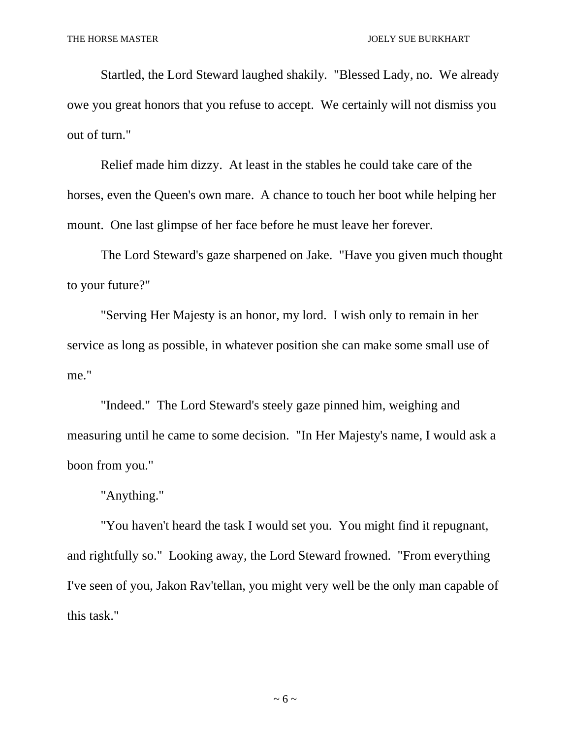Startled, the Lord Steward laughed shakily. "Blessed Lady, no. We already owe you great honors that you refuse to accept. We certainly will not dismiss you out of turn."

Relief made him dizzy. At least in the stables he could take care of the horses, even the Queen's own mare. A chance to touch her boot while helping her mount. One last glimpse of her face before he must leave her forever.

The Lord Steward's gaze sharpened on Jake. "Have you given much thought to your future?"

"Serving Her Majesty is an honor, my lord. I wish only to remain in her service as long as possible, in whatever position she can make some small use of me."

"Indeed." The Lord Steward's steely gaze pinned him, weighing and measuring until he came to some decision. "In Her Majesty's name, I would ask a boon from you."

"Anything."

"You haven't heard the task I would set you. You might find it repugnant, and rightfully so." Looking away, the Lord Steward frowned. "From everything I've seen of you, Jakon Rav'tellan, you might very well be the only man capable of this task."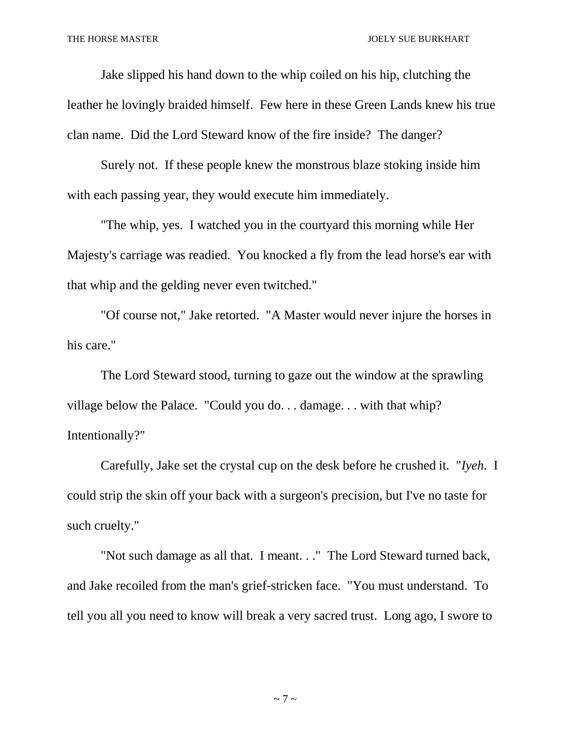Jake slipped his hand down to the whip coiled on his hip, clutching the leather he lovingly braided himself. Few here in these Green Lands knew his true clan name. Did the Lord Steward know of the fire inside? The danger?

Surely not. If these people knew the monstrous blaze stoking inside him with each passing year, they would execute him immediately.

"The whip, yes. I watched you in the courtyard this morning while Her Majesty's carriage was readied. You knocked a fly from the lead horse's ear with that whip and the gelding never even twitched."

"Of course not," Jake retorted. "A Master would never injure the horses in his care."

The Lord Steward stood, turning to gaze out the window at the sprawling village below the Palace. "Could you do. . . damage. . . with that whip? Intentionally?"

Carefully, Jake set the crystal cup on the desk before he crushed it. "*Iyeh*. I could strip the skin off your back with a surgeon's precision, but I've no taste for such cruelty."

"Not such damage as all that. I meant. . ." The Lord Steward turned back, and Jake recoiled from the man's grief-stricken face. "You must understand. To tell you all you need to know will break a very sacred trust. Long ago, I swore to

 $\sim$  7  $\sim$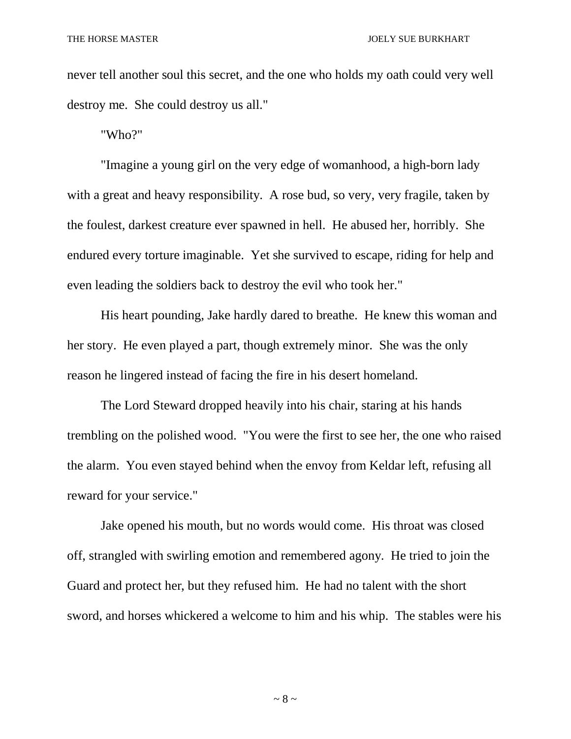never tell another soul this secret, and the one who holds my oath could very well destroy me. She could destroy us all."

"Who?"

"Imagine a young girl on the very edge of womanhood, a high-born lady with a great and heavy responsibility. A rose bud, so very, very fragile, taken by the foulest, darkest creature ever spawned in hell. He abused her, horribly. She endured every torture imaginable. Yet she survived to escape, riding for help and even leading the soldiers back to destroy the evil who took her."

His heart pounding, Jake hardly dared to breathe. He knew this woman and her story. He even played a part, though extremely minor. She was the only reason he lingered instead of facing the fire in his desert homeland.

The Lord Steward dropped heavily into his chair, staring at his hands trembling on the polished wood. "You were the first to see her, the one who raised the alarm. You even stayed behind when the envoy from Keldar left, refusing all reward for your service."

Jake opened his mouth, but no words would come. His throat was closed off, strangled with swirling emotion and remembered agony. He tried to join the Guard and protect her, but they refused him. He had no talent with the short sword, and horses whickered a welcome to him and his whip. The stables were his

 $~\sim 8~\sim$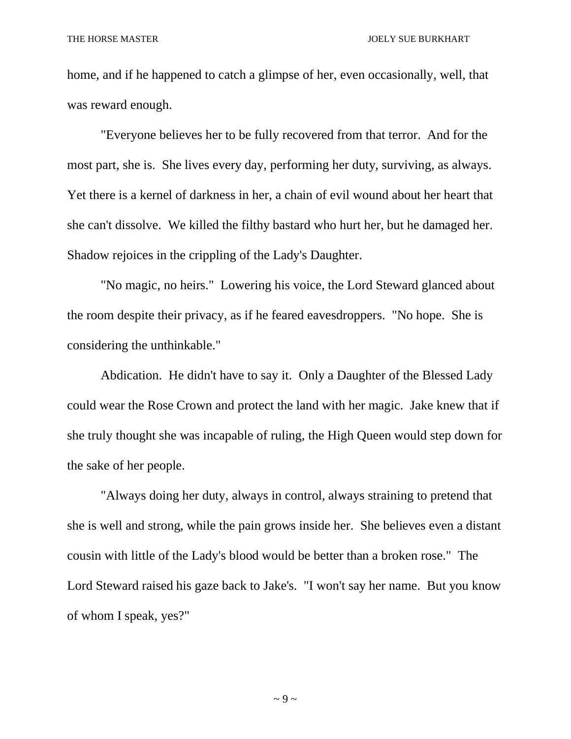home, and if he happened to catch a glimpse of her, even occasionally, well, that was reward enough.

"Everyone believes her to be fully recovered from that terror. And for the most part, she is. She lives every day, performing her duty, surviving, as always. Yet there is a kernel of darkness in her, a chain of evil wound about her heart that she can't dissolve. We killed the filthy bastard who hurt her, but he damaged her. Shadow rejoices in the crippling of the Lady's Daughter.

"No magic, no heirs." Lowering his voice, the Lord Steward glanced about the room despite their privacy, as if he feared eavesdroppers. "No hope. She is considering the unthinkable."

Abdication. He didn't have to say it. Only a Daughter of the Blessed Lady could wear the Rose Crown and protect the land with her magic. Jake knew that if she truly thought she was incapable of ruling, the High Queen would step down for the sake of her people.

"Always doing her duty, always in control, always straining to pretend that she is well and strong, while the pain grows inside her. She believes even a distant cousin with little of the Lady's blood would be better than a broken rose." The Lord Steward raised his gaze back to Jake's. "I won't say her name. But you know of whom I speak, yes?"

 $\sim$  9  $\sim$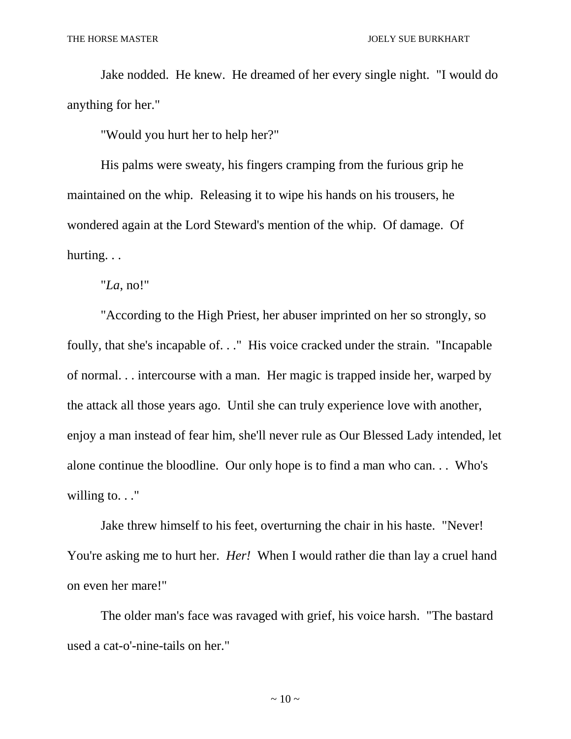Jake nodded. He knew. He dreamed of her every single night. "I would do anything for her."

"Would you hurt her to help her?"

His palms were sweaty, his fingers cramping from the furious grip he maintained on the whip. Releasing it to wipe his hands on his trousers, he wondered again at the Lord Steward's mention of the whip. Of damage. Of hurting. . .

"*La*, no!"

"According to the High Priest, her abuser imprinted on her so strongly, so foully, that she's incapable of. . ." His voice cracked under the strain. "Incapable of normal. . . intercourse with a man. Her magic is trapped inside her, warped by the attack all those years ago. Until she can truly experience love with another, enjoy a man instead of fear him, she'll never rule as Our Blessed Lady intended, let alone continue the bloodline. Our only hope is to find a man who can. . . Who's willing to.  $\ldots$ "

Jake threw himself to his feet, overturning the chair in his haste. "Never! You're asking me to hurt her. *Her!* When I would rather die than lay a cruel hand on even her mare!"

The older man's face was ravaged with grief, his voice harsh. "The bastard used a cat-o'-nine-tails on her."

 $\sim$  10  $\sim$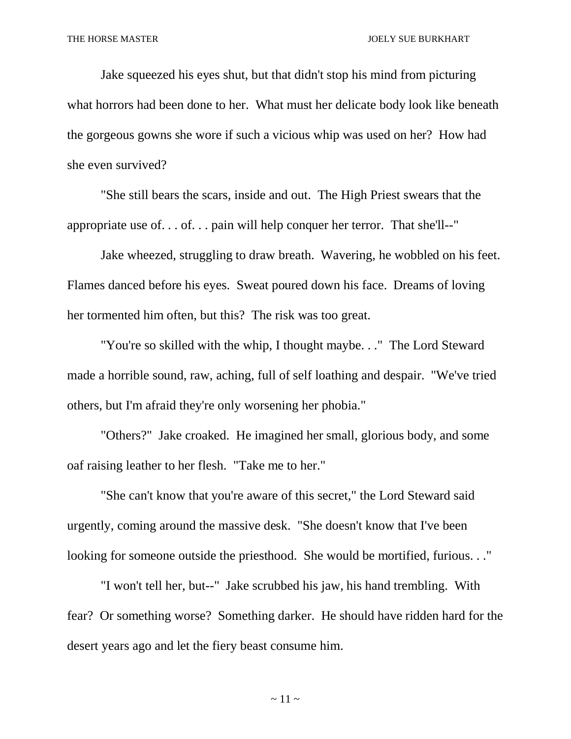Jake squeezed his eyes shut, but that didn't stop his mind from picturing what horrors had been done to her. What must her delicate body look like beneath the gorgeous gowns she wore if such a vicious whip was used on her? How had she even survived?

"She still bears the scars, inside and out. The High Priest swears that the appropriate use of. . . of. . . pain will help conquer her terror. That she'll--"

Jake wheezed, struggling to draw breath. Wavering, he wobbled on his feet. Flames danced before his eyes. Sweat poured down his face. Dreams of loving her tormented him often, but this? The risk was too great.

"You're so skilled with the whip, I thought maybe. . ." The Lord Steward made a horrible sound, raw, aching, full of self loathing and despair. "We've tried others, but I'm afraid they're only worsening her phobia."

"Others?" Jake croaked. He imagined her small, glorious body, and some oaf raising leather to her flesh. "Take me to her."

"She can't know that you're aware of this secret," the Lord Steward said urgently, coming around the massive desk. "She doesn't know that I've been looking for someone outside the priesthood. She would be mortified, furious..."

"I won't tell her, but--" Jake scrubbed his jaw, his hand trembling. With fear? Or something worse? Something darker. He should have ridden hard for the desert years ago and let the fiery beast consume him.

 $\sim$  11  $\sim$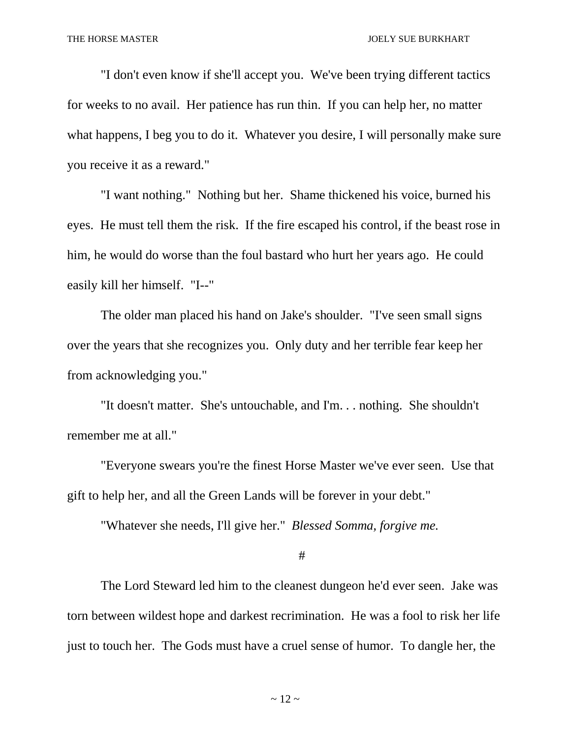"I don't even know if she'll accept you. We've been trying different tactics for weeks to no avail. Her patience has run thin. If you can help her, no matter what happens, I beg you to do it. Whatever you desire, I will personally make sure you receive it as a reward."

"I want nothing." Nothing but her. Shame thickened his voice, burned his eyes. He must tell them the risk. If the fire escaped his control, if the beast rose in him, he would do worse than the foul bastard who hurt her years ago. He could easily kill her himself. "I--"

The older man placed his hand on Jake's shoulder. "I've seen small signs over the years that she recognizes you. Only duty and her terrible fear keep her from acknowledging you."

"It doesn't matter. She's untouchable, and I'm. . . nothing. She shouldn't remember me at all."

"Everyone swears you're the finest Horse Master we've ever seen. Use that gift to help her, and all the Green Lands will be forever in your debt."

"Whatever she needs, I'll give her." *Blessed Somma, forgive me.*

#

The Lord Steward led him to the cleanest dungeon he'd ever seen. Jake was torn between wildest hope and darkest recrimination. He was a fool to risk her life just to touch her. The Gods must have a cruel sense of humor. To dangle her, the

 $\sim$  12  $\sim$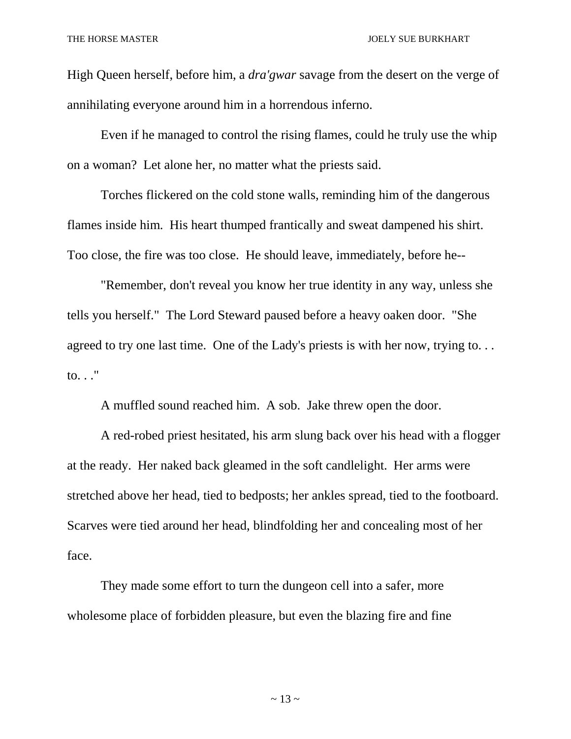High Queen herself, before him, a *dra'gwar* savage from the desert on the verge of annihilating everyone around him in a horrendous inferno.

Even if he managed to control the rising flames, could he truly use the whip on a woman? Let alone her, no matter what the priests said.

Torches flickered on the cold stone walls, reminding him of the dangerous flames inside him. His heart thumped frantically and sweat dampened his shirt. Too close, the fire was too close. He should leave, immediately, before he--

"Remember, don't reveal you know her true identity in any way, unless she tells you herself." The Lord Steward paused before a heavy oaken door. "She agreed to try one last time. One of the Lady's priests is with her now, trying to. . . to. . ."

A muffled sound reached him. A sob. Jake threw open the door.

A red-robed priest hesitated, his arm slung back over his head with a flogger at the ready. Her naked back gleamed in the soft candlelight. Her arms were stretched above her head, tied to bedposts; her ankles spread, tied to the footboard. Scarves were tied around her head, blindfolding her and concealing most of her face.

They made some effort to turn the dungeon cell into a safer, more wholesome place of forbidden pleasure, but even the blazing fire and fine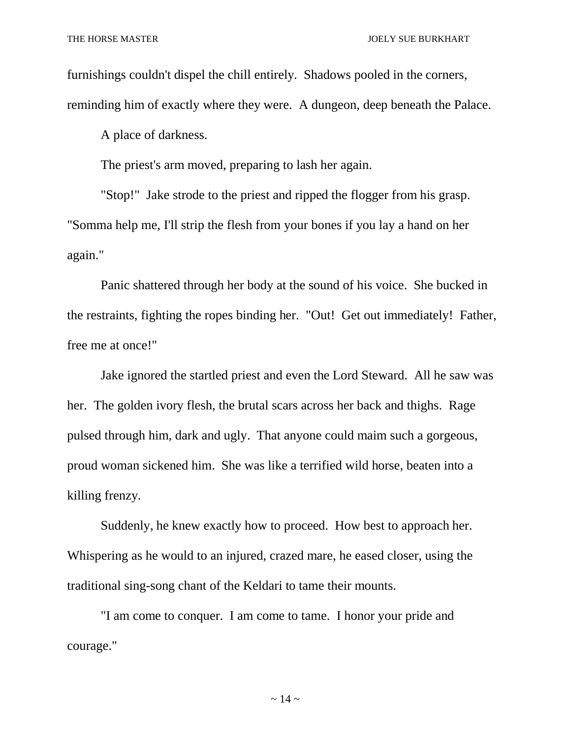furnishings couldn't dispel the chill entirely. Shadows pooled in the corners, reminding him of exactly where they were. A dungeon, deep beneath the Palace.

A place of darkness.

The priest's arm moved, preparing to lash her again.

"Stop!" Jake strode to the priest and ripped the flogger from his grasp. "Somma help me, I'll strip the flesh from your bones if you lay a hand on her again."

Panic shattered through her body at the sound of his voice. She bucked in the restraints, fighting the ropes binding her. "Out! Get out immediately! Father, free me at once!"

Jake ignored the startled priest and even the Lord Steward. All he saw was her. The golden ivory flesh, the brutal scars across her back and thighs. Rage pulsed through him, dark and ugly. That anyone could maim such a gorgeous, proud woman sickened him. She was like a terrified wild horse, beaten into a killing frenzy.

Suddenly, he knew exactly how to proceed. How best to approach her. Whispering as he would to an injured, crazed mare, he eased closer, using the traditional sing-song chant of the Keldari to tame their mounts.

"I am come to conquer. I am come to tame. I honor your pride and courage."

 $\sim$  14  $\sim$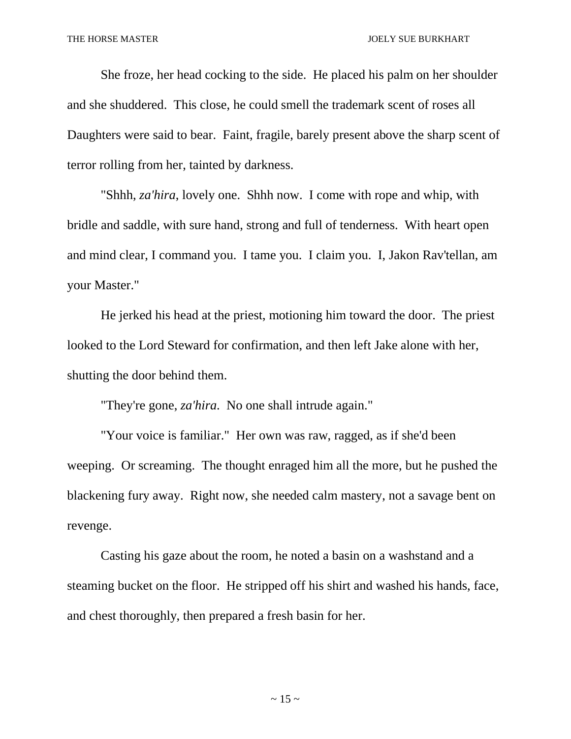She froze, her head cocking to the side. He placed his palm on her shoulder and she shuddered. This close, he could smell the trademark scent of roses all Daughters were said to bear. Faint, fragile, barely present above the sharp scent of terror rolling from her, tainted by darkness.

"Shhh, *za'hira*, lovely one. Shhh now. I come with rope and whip, with bridle and saddle, with sure hand, strong and full of tenderness. With heart open and mind clear, I command you. I tame you. I claim you. I, Jakon Rav'tellan, am your Master."

He jerked his head at the priest, motioning him toward the door. The priest looked to the Lord Steward for confirmation, and then left Jake alone with her, shutting the door behind them.

"They're gone, *za'hira*. No one shall intrude again."

"Your voice is familiar." Her own was raw, ragged, as if she'd been weeping. Or screaming. The thought enraged him all the more, but he pushed the blackening fury away. Right now, she needed calm mastery, not a savage bent on revenge.

Casting his gaze about the room, he noted a basin on a washstand and a steaming bucket on the floor. He stripped off his shirt and washed his hands, face, and chest thoroughly, then prepared a fresh basin for her.

 $\sim$  15  $\sim$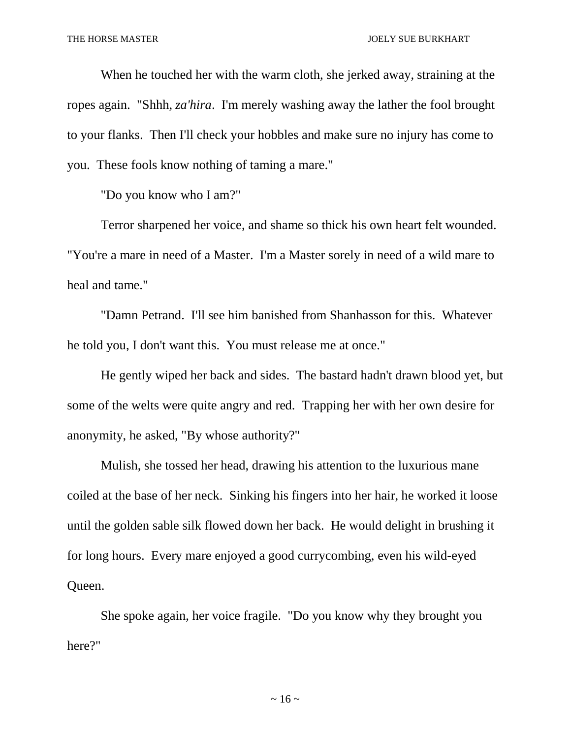When he touched her with the warm cloth, she jerked away, straining at the ropes again. "Shhh, *za'hira*. I'm merely washing away the lather the fool brought to your flanks. Then I'll check your hobbles and make sure no injury has come to you. These fools know nothing of taming a mare."

"Do you know who I am?"

Terror sharpened her voice, and shame so thick his own heart felt wounded. "You're a mare in need of a Master. I'm a Master sorely in need of a wild mare to heal and tame."

"Damn Petrand. I'll see him banished from Shanhasson for this. Whatever he told you, I don't want this. You must release me at once."

He gently wiped her back and sides. The bastard hadn't drawn blood yet, but some of the welts were quite angry and red. Trapping her with her own desire for anonymity, he asked, "By whose authority?"

Mulish, she tossed her head, drawing his attention to the luxurious mane coiled at the base of her neck. Sinking his fingers into her hair, he worked it loose until the golden sable silk flowed down her back. He would delight in brushing it for long hours. Every mare enjoyed a good currycombing, even his wild-eyed Queen.

She spoke again, her voice fragile. "Do you know why they brought you here?"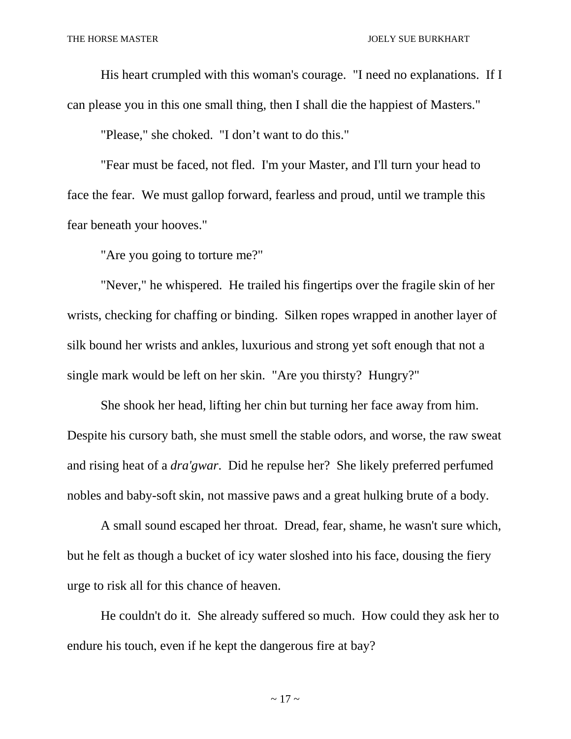His heart crumpled with this woman's courage. "I need no explanations. If I can please you in this one small thing, then I shall die the happiest of Masters."

"Please," she choked. "I don't want to do this."

"Fear must be faced, not fled. I'm your Master, and I'll turn your head to face the fear. We must gallop forward, fearless and proud, until we trample this fear beneath your hooves."

"Are you going to torture me?"

"Never," he whispered. He trailed his fingertips over the fragile skin of her wrists, checking for chaffing or binding. Silken ropes wrapped in another layer of silk bound her wrists and ankles, luxurious and strong yet soft enough that not a single mark would be left on her skin. "Are you thirsty? Hungry?"

She shook her head, lifting her chin but turning her face away from him. Despite his cursory bath, she must smell the stable odors, and worse, the raw sweat and rising heat of a *dra'gwar*. Did he repulse her? She likely preferred perfumed nobles and baby-soft skin, not massive paws and a great hulking brute of a body.

A small sound escaped her throat. Dread, fear, shame, he wasn't sure which, but he felt as though a bucket of icy water sloshed into his face, dousing the fiery urge to risk all for this chance of heaven.

He couldn't do it. She already suffered so much. How could they ask her to endure his touch, even if he kept the dangerous fire at bay?

 $\sim$  17  $\sim$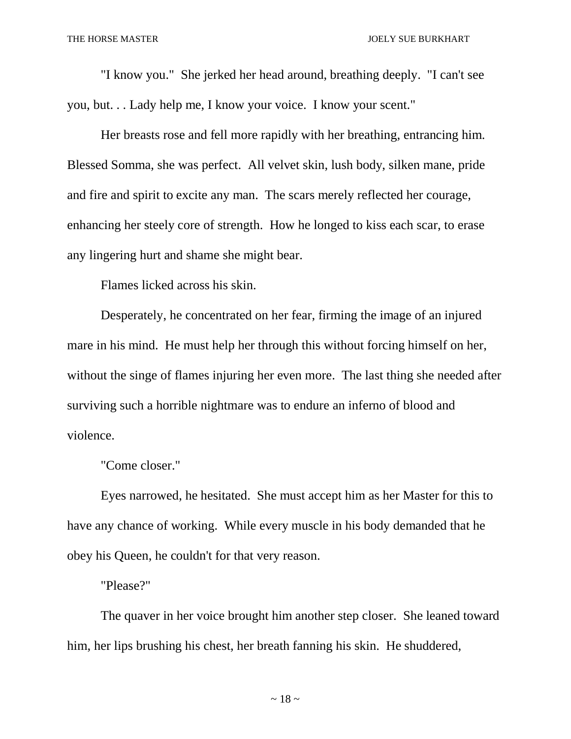"I know you." She jerked her head around, breathing deeply. "I can't see you, but. . . Lady help me, I know your voice. I know your scent."

Her breasts rose and fell more rapidly with her breathing, entrancing him. Blessed Somma, she was perfect. All velvet skin, lush body, silken mane, pride and fire and spirit to excite any man. The scars merely reflected her courage, enhancing her steely core of strength. How he longed to kiss each scar, to erase any lingering hurt and shame she might bear.

Flames licked across his skin.

Desperately, he concentrated on her fear, firming the image of an injured mare in his mind. He must help her through this without forcing himself on her, without the singe of flames injuring her even more. The last thing she needed after surviving such a horrible nightmare was to endure an inferno of blood and violence.

"Come closer."

Eyes narrowed, he hesitated. She must accept him as her Master for this to have any chance of working. While every muscle in his body demanded that he obey his Queen, he couldn't for that very reason.

"Please?"

The quaver in her voice brought him another step closer. She leaned toward him, her lips brushing his chest, her breath fanning his skin. He shuddered,

 $\sim$  18  $\sim$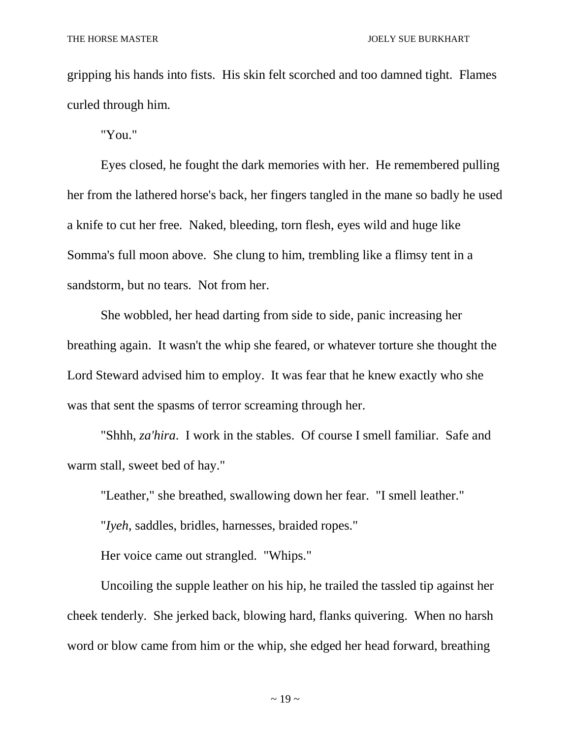gripping his hands into fists. His skin felt scorched and too damned tight. Flames curled through him.

"You."

Eyes closed, he fought the dark memories with her. He remembered pulling her from the lathered horse's back, her fingers tangled in the mane so badly he used a knife to cut her free. Naked, bleeding, torn flesh, eyes wild and huge like Somma's full moon above. She clung to him, trembling like a flimsy tent in a sandstorm, but no tears. Not from her.

She wobbled, her head darting from side to side, panic increasing her breathing again. It wasn't the whip she feared, or whatever torture she thought the Lord Steward advised him to employ. It was fear that he knew exactly who she was that sent the spasms of terror screaming through her.

"Shhh, *za'hira*. I work in the stables. Of course I smell familiar. Safe and warm stall, sweet bed of hay."

"Leather," she breathed, swallowing down her fear. "I smell leather."

"*Iyeh*, saddles, bridles, harnesses, braided ropes."

Her voice came out strangled. "Whips."

Uncoiling the supple leather on his hip, he trailed the tassled tip against her cheek tenderly. She jerked back, blowing hard, flanks quivering. When no harsh word or blow came from him or the whip, she edged her head forward, breathing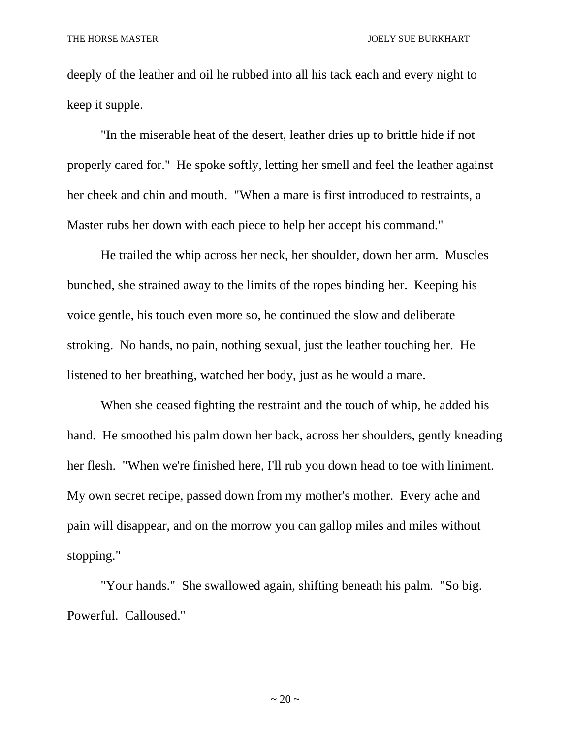deeply of the leather and oil he rubbed into all his tack each and every night to keep it supple.

"In the miserable heat of the desert, leather dries up to brittle hide if not properly cared for." He spoke softly, letting her smell and feel the leather against her cheek and chin and mouth. "When a mare is first introduced to restraints, a Master rubs her down with each piece to help her accept his command."

He trailed the whip across her neck, her shoulder, down her arm. Muscles bunched, she strained away to the limits of the ropes binding her. Keeping his voice gentle, his touch even more so, he continued the slow and deliberate stroking. No hands, no pain, nothing sexual, just the leather touching her. He listened to her breathing, watched her body, just as he would a mare.

When she ceased fighting the restraint and the touch of whip, he added his hand. He smoothed his palm down her back, across her shoulders, gently kneading her flesh. "When we're finished here, I'll rub you down head to toe with liniment. My own secret recipe, passed down from my mother's mother. Every ache and pain will disappear, and on the morrow you can gallop miles and miles without stopping."

"Your hands." She swallowed again, shifting beneath his palm. "So big. Powerful. Calloused."

 $\sim$  20  $\sim$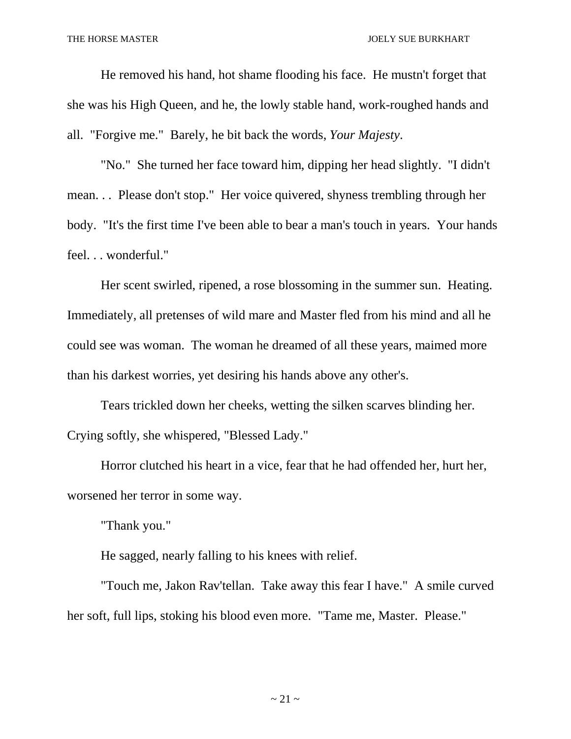He removed his hand, hot shame flooding his face. He mustn't forget that she was his High Queen, and he, the lowly stable hand, work-roughed hands and all. "Forgive me." Barely, he bit back the words, *Your Majesty*.

"No." She turned her face toward him, dipping her head slightly. "I didn't mean. . . Please don't stop." Her voice quivered, shyness trembling through her body. "It's the first time I've been able to bear a man's touch in years. Your hands feel. . . wonderful."

Her scent swirled, ripened, a rose blossoming in the summer sun. Heating. Immediately, all pretenses of wild mare and Master fled from his mind and all he could see was woman. The woman he dreamed of all these years, maimed more than his darkest worries, yet desiring his hands above any other's.

Tears trickled down her cheeks, wetting the silken scarves blinding her. Crying softly, she whispered, "Blessed Lady."

Horror clutched his heart in a vice, fear that he had offended her, hurt her, worsened her terror in some way.

"Thank you."

He sagged, nearly falling to his knees with relief.

"Touch me, Jakon Rav'tellan. Take away this fear I have." A smile curved her soft, full lips, stoking his blood even more. "Tame me, Master. Please."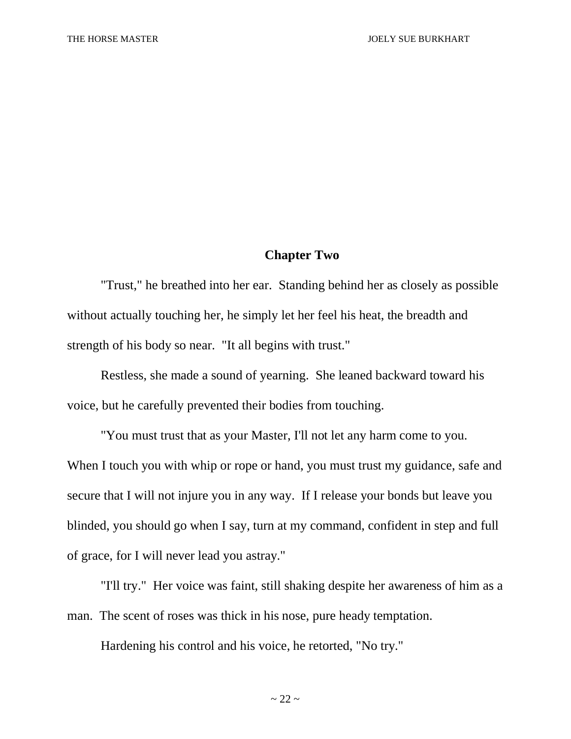#### **Chapter Two**

"Trust," he breathed into her ear. Standing behind her as closely as possible without actually touching her, he simply let her feel his heat, the breadth and strength of his body so near. "It all begins with trust."

Restless, she made a sound of yearning. She leaned backward toward his voice, but he carefully prevented their bodies from touching.

"You must trust that as your Master, I'll not let any harm come to you. When I touch you with whip or rope or hand, you must trust my guidance, safe and secure that I will not injure you in any way. If I release your bonds but leave you blinded, you should go when I say, turn at my command, confident in step and full of grace, for I will never lead you astray."

"I'll try." Her voice was faint, still shaking despite her awareness of him as a man. The scent of roses was thick in his nose, pure heady temptation.

Hardening his control and his voice, he retorted, "No try."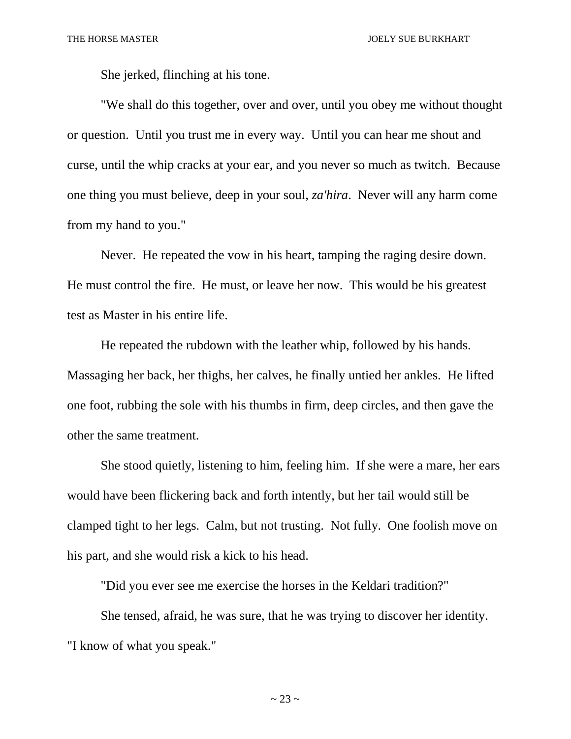She jerked, flinching at his tone.

"We shall do this together, over and over, until you obey me without thought or question. Until you trust me in every way. Until you can hear me shout and curse, until the whip cracks at your ear, and you never so much as twitch. Because one thing you must believe, deep in your soul, *za'hira*. Never will any harm come from my hand to you."

Never. He repeated the vow in his heart, tamping the raging desire down. He must control the fire. He must, or leave her now. This would be his greatest test as Master in his entire life.

He repeated the rubdown with the leather whip, followed by his hands. Massaging her back, her thighs, her calves, he finally untied her ankles. He lifted one foot, rubbing the sole with his thumbs in firm, deep circles, and then gave the other the same treatment.

She stood quietly, listening to him, feeling him. If she were a mare, her ears would have been flickering back and forth intently, but her tail would still be clamped tight to her legs. Calm, but not trusting. Not fully. One foolish move on his part, and she would risk a kick to his head.

"Did you ever see me exercise the horses in the Keldari tradition?"

She tensed, afraid, he was sure, that he was trying to discover her identity. "I know of what you speak."

 $\sim$  23  $\sim$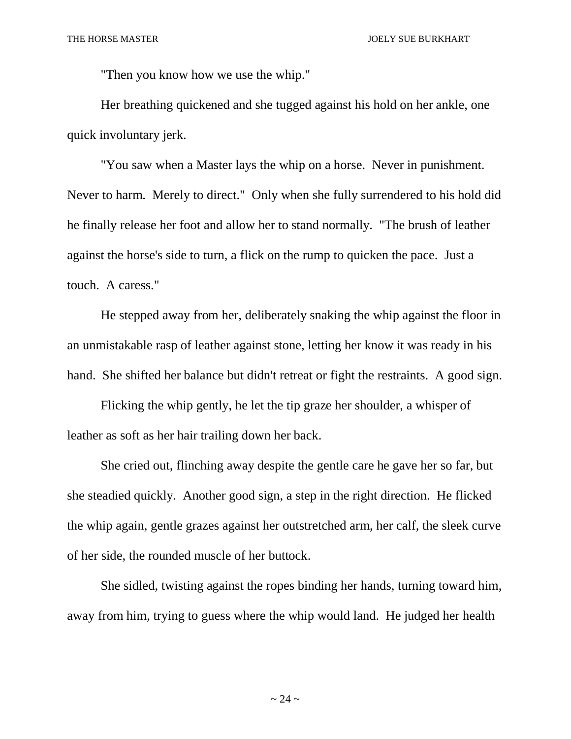"Then you know how we use the whip."

Her breathing quickened and she tugged against his hold on her ankle, one quick involuntary jerk.

"You saw when a Master lays the whip on a horse. Never in punishment. Never to harm. Merely to direct." Only when she fully surrendered to his hold did he finally release her foot and allow her to stand normally. "The brush of leather against the horse's side to turn, a flick on the rump to quicken the pace. Just a touch. A caress."

He stepped away from her, deliberately snaking the whip against the floor in an unmistakable rasp of leather against stone, letting her know it was ready in his hand. She shifted her balance but didn't retreat or fight the restraints. A good sign.

Flicking the whip gently, he let the tip graze her shoulder, a whisper of leather as soft as her hair trailing down her back.

She cried out, flinching away despite the gentle care he gave her so far, but she steadied quickly. Another good sign, a step in the right direction. He flicked the whip again, gentle grazes against her outstretched arm, her calf, the sleek curve of her side, the rounded muscle of her buttock.

She sidled, twisting against the ropes binding her hands, turning toward him, away from him, trying to guess where the whip would land. He judged her health

 $\sim$  24  $\sim$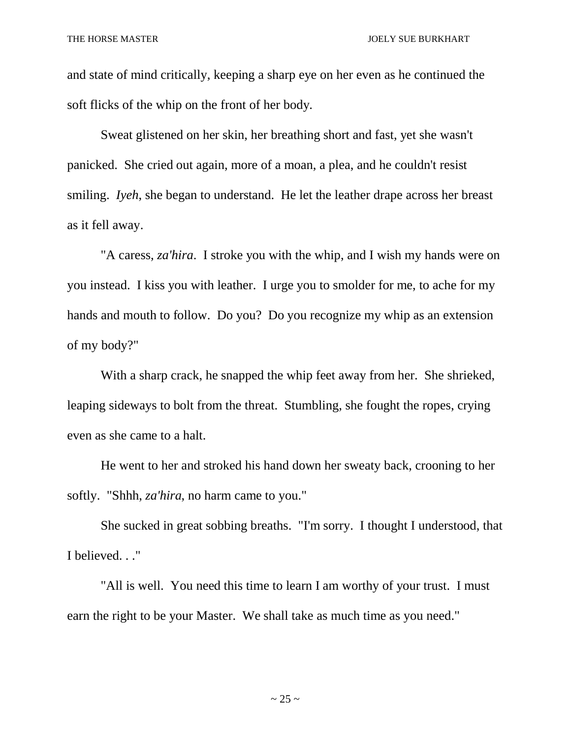and state of mind critically, keeping a sharp eye on her even as he continued the soft flicks of the whip on the front of her body.

Sweat glistened on her skin, her breathing short and fast, yet she wasn't panicked. She cried out again, more of a moan, a plea, and he couldn't resist smiling. *Iyeh*, she began to understand. He let the leather drape across her breast as it fell away.

"A caress, *za'hira*. I stroke you with the whip, and I wish my hands were on you instead. I kiss you with leather. I urge you to smolder for me, to ache for my hands and mouth to follow. Do you? Do you recognize my whip as an extension of my body?"

With a sharp crack, he snapped the whip feet away from her. She shrieked, leaping sideways to bolt from the threat. Stumbling, she fought the ropes, crying even as she came to a halt.

He went to her and stroked his hand down her sweaty back, crooning to her softly. "Shhh, *za'hira*, no harm came to you."

She sucked in great sobbing breaths. "I'm sorry. I thought I understood, that I believed. . ."

"All is well. You need this time to learn I am worthy of your trust. I must earn the right to be your Master. We shall take as much time as you need."

 $\sim$  25  $\sim$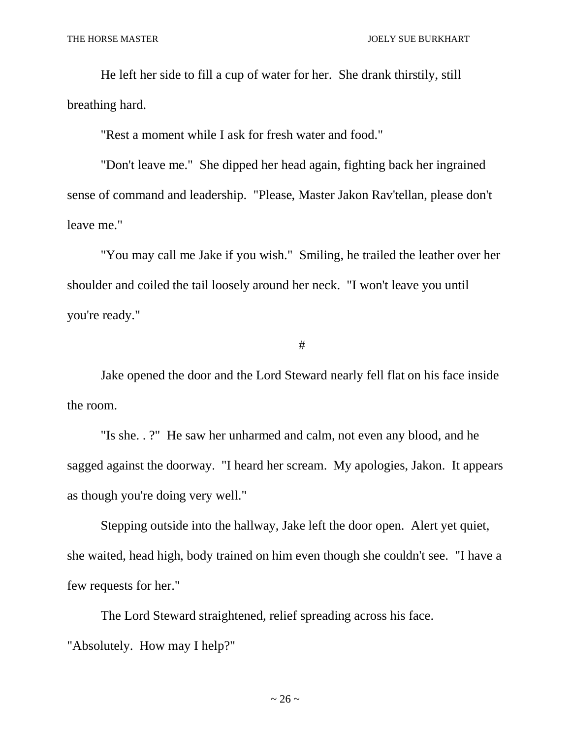He left her side to fill a cup of water for her. She drank thirstily, still breathing hard.

"Rest a moment while I ask for fresh water and food."

"Don't leave me." She dipped her head again, fighting back her ingrained sense of command and leadership. "Please, Master Jakon Rav'tellan, please don't leave me."

"You may call me Jake if you wish." Smiling, he trailed the leather over her shoulder and coiled the tail loosely around her neck. "I won't leave you until you're ready."

#

Jake opened the door and the Lord Steward nearly fell flat on his face inside the room.

"Is she. . ?" He saw her unharmed and calm, not even any blood, and he sagged against the doorway. "I heard her scream. My apologies, Jakon. It appears as though you're doing very well."

Stepping outside into the hallway, Jake left the door open. Alert yet quiet, she waited, head high, body trained on him even though she couldn't see. "I have a few requests for her."

The Lord Steward straightened, relief spreading across his face. "Absolutely. How may I help?"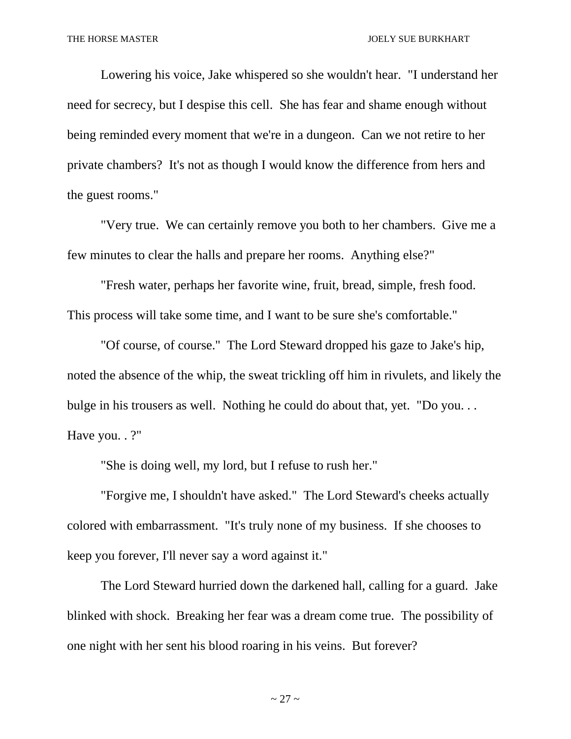Lowering his voice, Jake whispered so she wouldn't hear. "I understand her need for secrecy, but I despise this cell. She has fear and shame enough without being reminded every moment that we're in a dungeon. Can we not retire to her private chambers? It's not as though I would know the difference from hers and the guest rooms."

"Very true. We can certainly remove you both to her chambers. Give me a few minutes to clear the halls and prepare her rooms. Anything else?"

"Fresh water, perhaps her favorite wine, fruit, bread, simple, fresh food. This process will take some time, and I want to be sure she's comfortable."

"Of course, of course." The Lord Steward dropped his gaze to Jake's hip, noted the absence of the whip, the sweat trickling off him in rivulets, and likely the bulge in his trousers as well. Nothing he could do about that, yet. "Do you. . . Have you. . ?"

"She is doing well, my lord, but I refuse to rush her."

"Forgive me, I shouldn't have asked." The Lord Steward's cheeks actually colored with embarrassment. "It's truly none of my business. If she chooses to keep you forever, I'll never say a word against it."

The Lord Steward hurried down the darkened hall, calling for a guard. Jake blinked with shock. Breaking her fear was a dream come true. The possibility of one night with her sent his blood roaring in his veins. But forever?

 $~27~\sim$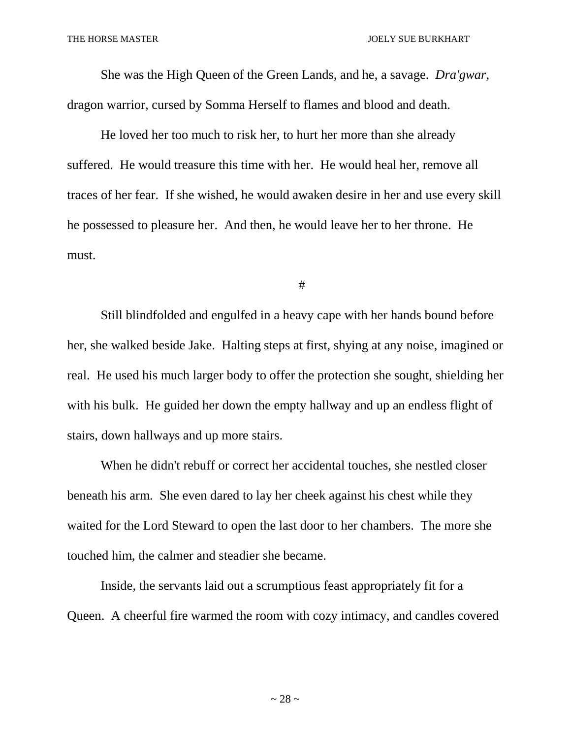She was the High Queen of the Green Lands, and he, a savage. *Dra'gwar*, dragon warrior, cursed by Somma Herself to flames and blood and death.

He loved her too much to risk her, to hurt her more than she already suffered. He would treasure this time with her. He would heal her, remove all traces of her fear. If she wished, he would awaken desire in her and use every skill he possessed to pleasure her. And then, he would leave her to her throne. He must.

#

Still blindfolded and engulfed in a heavy cape with her hands bound before her, she walked beside Jake. Halting steps at first, shying at any noise, imagined or real. He used his much larger body to offer the protection she sought, shielding her with his bulk. He guided her down the empty hallway and up an endless flight of stairs, down hallways and up more stairs.

When he didn't rebuff or correct her accidental touches, she nestled closer beneath his arm. She even dared to lay her cheek against his chest while they waited for the Lord Steward to open the last door to her chambers. The more she touched him, the calmer and steadier she became.

Inside, the servants laid out a scrumptious feast appropriately fit for a Queen. A cheerful fire warmed the room with cozy intimacy, and candles covered

 $\sim$  28  $\sim$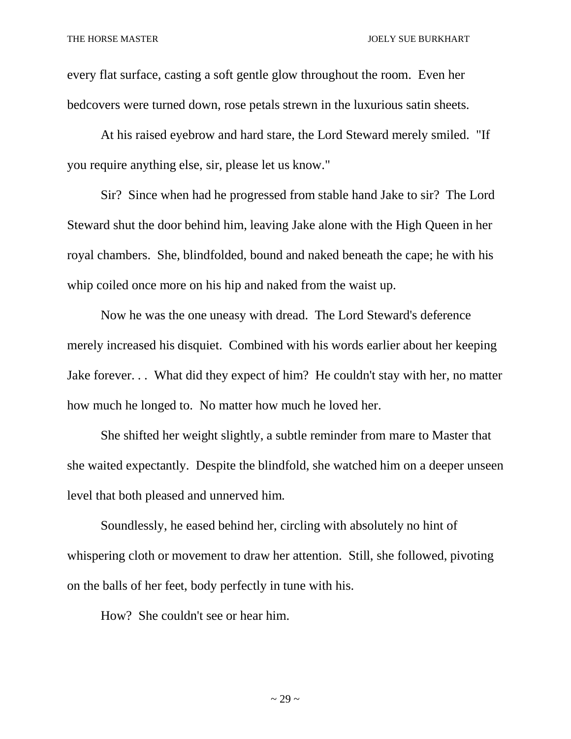every flat surface, casting a soft gentle glow throughout the room. Even her bedcovers were turned down, rose petals strewn in the luxurious satin sheets.

At his raised eyebrow and hard stare, the Lord Steward merely smiled. "If you require anything else, sir, please let us know."

Sir? Since when had he progressed from stable hand Jake to sir? The Lord Steward shut the door behind him, leaving Jake alone with the High Queen in her royal chambers. She, blindfolded, bound and naked beneath the cape; he with his whip coiled once more on his hip and naked from the waist up.

Now he was the one uneasy with dread. The Lord Steward's deference merely increased his disquiet. Combined with his words earlier about her keeping Jake forever. . . What did they expect of him? He couldn't stay with her, no matter how much he longed to. No matter how much he loved her.

She shifted her weight slightly, a subtle reminder from mare to Master that she waited expectantly. Despite the blindfold, she watched him on a deeper unseen level that both pleased and unnerved him.

Soundlessly, he eased behind her, circling with absolutely no hint of whispering cloth or movement to draw her attention. Still, she followed, pivoting on the balls of her feet, body perfectly in tune with his.

How? She couldn't see or hear him.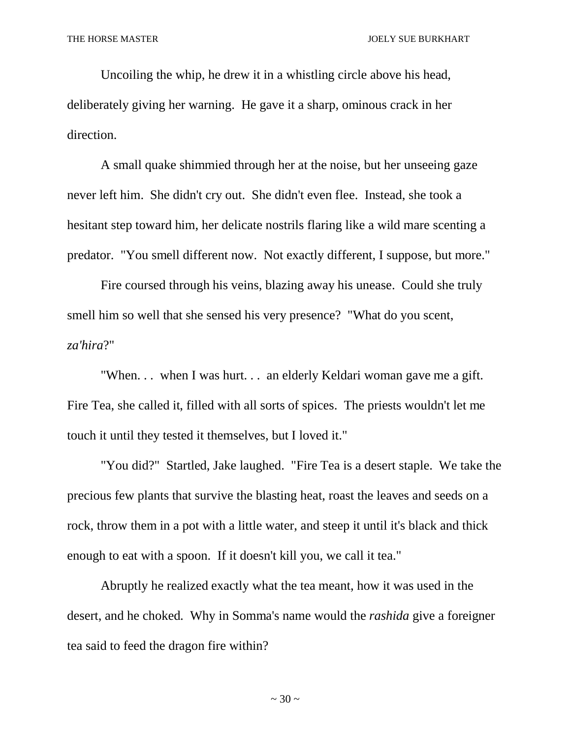Uncoiling the whip, he drew it in a whistling circle above his head, deliberately giving her warning. He gave it a sharp, ominous crack in her direction.

A small quake shimmied through her at the noise, but her unseeing gaze never left him. She didn't cry out. She didn't even flee. Instead, she took a hesitant step toward him, her delicate nostrils flaring like a wild mare scenting a predator. "You smell different now. Not exactly different, I suppose, but more."

Fire coursed through his veins, blazing away his unease. Could she truly smell him so well that she sensed his very presence? "What do you scent, *za'hira*?"

"When. . . when I was hurt. . . an elderly Keldari woman gave me a gift. Fire Tea, she called it, filled with all sorts of spices. The priests wouldn't let me touch it until they tested it themselves, but I loved it."

"You did?" Startled, Jake laughed. "Fire Tea is a desert staple. We take the precious few plants that survive the blasting heat, roast the leaves and seeds on a rock, throw them in a pot with a little water, and steep it until it's black and thick enough to eat with a spoon. If it doesn't kill you, we call it tea."

Abruptly he realized exactly what the tea meant, how it was used in the desert, and he choked. Why in Somma's name would the *rashida* give a foreigner tea said to feed the dragon fire within?

 $\sim$  30  $\sim$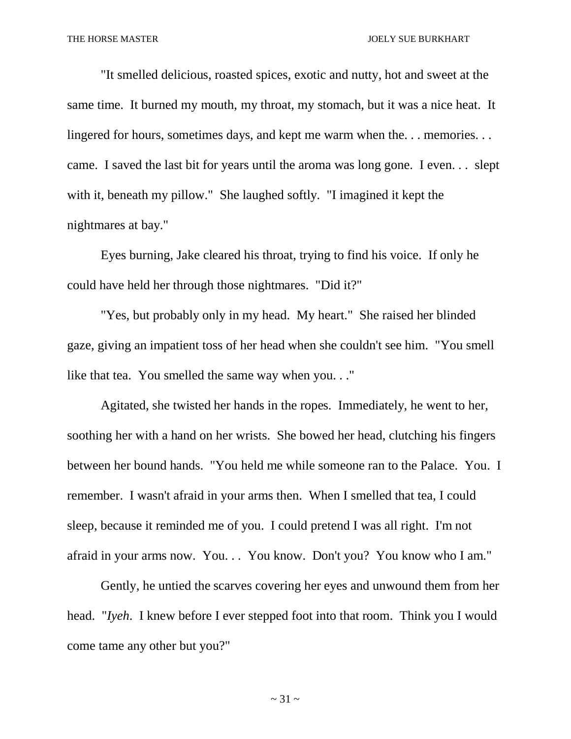"It smelled delicious, roasted spices, exotic and nutty, hot and sweet at the same time. It burned my mouth, my throat, my stomach, but it was a nice heat. It lingered for hours, sometimes days, and kept me warm when the. . . memories. . . came. I saved the last bit for years until the aroma was long gone. I even. . . slept with it, beneath my pillow." She laughed softly. "I imagined it kept the nightmares at bay."

Eyes burning, Jake cleared his throat, trying to find his voice. If only he could have held her through those nightmares. "Did it?"

"Yes, but probably only in my head. My heart." She raised her blinded gaze, giving an impatient toss of her head when she couldn't see him. "You smell like that tea. You smelled the same way when you. . ."

Agitated, she twisted her hands in the ropes. Immediately, he went to her, soothing her with a hand on her wrists. She bowed her head, clutching his fingers between her bound hands. "You held me while someone ran to the Palace. You. I remember. I wasn't afraid in your arms then. When I smelled that tea, I could sleep, because it reminded me of you. I could pretend I was all right. I'm not afraid in your arms now. You. . . You know. Don't you? You know who I am."

Gently, he untied the scarves covering her eyes and unwound them from her head. "*Iyeh*. I knew before I ever stepped foot into that room. Think you I would come tame any other but you?"

 $\sim$  31  $\sim$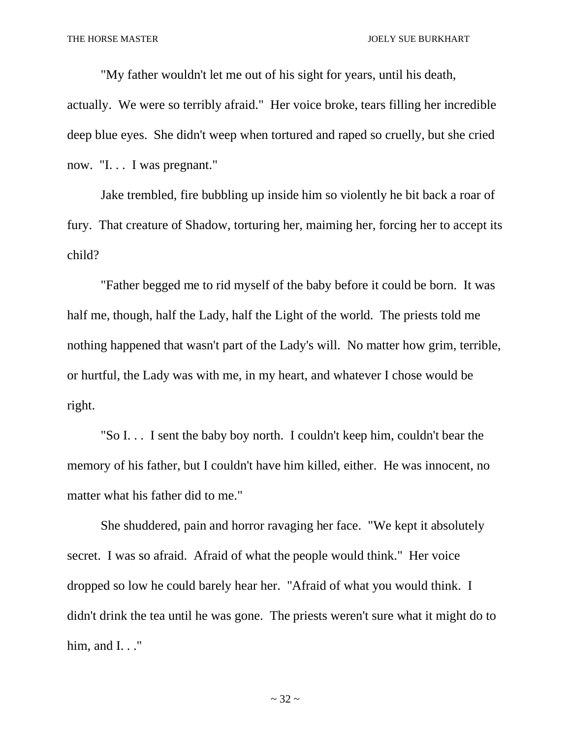"My father wouldn't let me out of his sight for years, until his death, actually. We were so terribly afraid." Her voice broke, tears filling her incredible deep blue eyes. She didn't weep when tortured and raped so cruelly, but she cried now. "I. . . I was pregnant."

Jake trembled, fire bubbling up inside him so violently he bit back a roar of fury. That creature of Shadow, torturing her, maiming her, forcing her to accept its child?

"Father begged me to rid myself of the baby before it could be born. It was half me, though, half the Lady, half the Light of the world. The priests told me nothing happened that wasn't part of the Lady's will. No matter how grim, terrible, or hurtful, the Lady was with me, in my heart, and whatever I chose would be right.

"So I. . . I sent the baby boy north. I couldn't keep him, couldn't bear the memory of his father, but I couldn't have him killed, either. He was innocent, no matter what his father did to me."

She shuddered, pain and horror ravaging her face. "We kept it absolutely secret. I was so afraid. Afraid of what the people would think." Her voice dropped so low he could barely hear her. "Afraid of what you would think. I didn't drink the tea until he was gone. The priests weren't sure what it might do to him, and  $I. . .''$ 

 $~1.32$  ~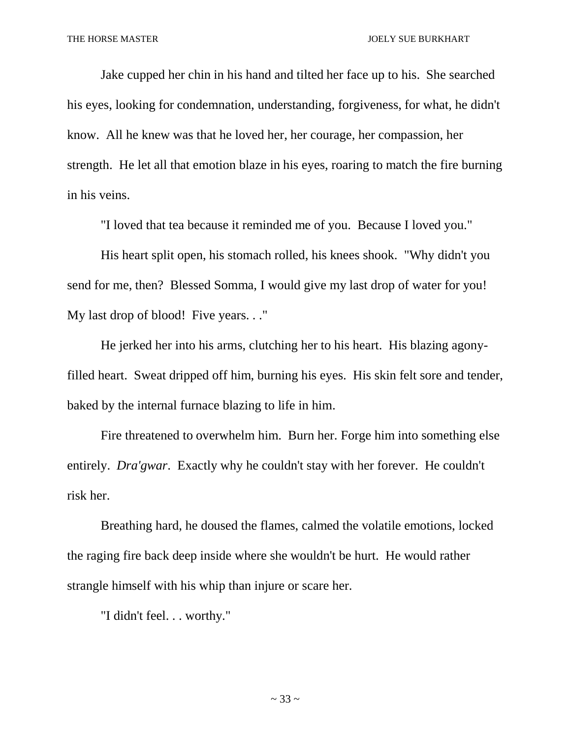Jake cupped her chin in his hand and tilted her face up to his. She searched his eyes, looking for condemnation, understanding, forgiveness, for what, he didn't know. All he knew was that he loved her, her courage, her compassion, her strength. He let all that emotion blaze in his eyes, roaring to match the fire burning in his veins.

"I loved that tea because it reminded me of you. Because I loved you."

His heart split open, his stomach rolled, his knees shook. "Why didn't you send for me, then? Blessed Somma, I would give my last drop of water for you! My last drop of blood! Five years. . ."

He jerked her into his arms, clutching her to his heart. His blazing agonyfilled heart. Sweat dripped off him, burning his eyes. His skin felt sore and tender, baked by the internal furnace blazing to life in him.

Fire threatened to overwhelm him. Burn her. Forge him into something else entirely. *Dra'gwar*. Exactly why he couldn't stay with her forever. He couldn't risk her.

Breathing hard, he doused the flames, calmed the volatile emotions, locked the raging fire back deep inside where she wouldn't be hurt. He would rather strangle himself with his whip than injure or scare her.

"I didn't feel. . . worthy."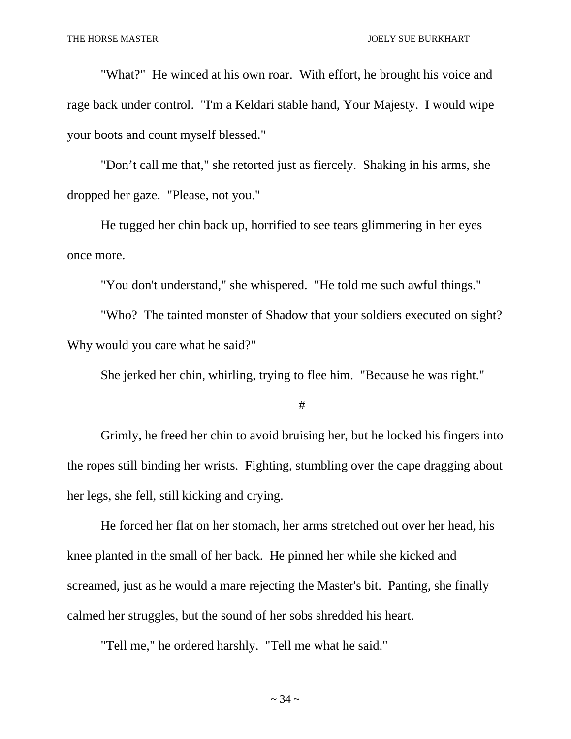"What?" He winced at his own roar. With effort, he brought his voice and rage back under control. "I'm a Keldari stable hand, Your Majesty. I would wipe your boots and count myself blessed."

"Don't call me that," she retorted just as fiercely. Shaking in his arms, she dropped her gaze. "Please, not you."

He tugged her chin back up, horrified to see tears glimmering in her eyes once more.

"You don't understand," she whispered. "He told me such awful things."

"Who? The tainted monster of Shadow that your soldiers executed on sight? Why would you care what he said?"

She jerked her chin, whirling, trying to flee him. "Because he was right."

#

Grimly, he freed her chin to avoid bruising her, but he locked his fingers into the ropes still binding her wrists. Fighting, stumbling over the cape dragging about her legs, she fell, still kicking and crying.

He forced her flat on her stomach, her arms stretched out over her head, his knee planted in the small of her back. He pinned her while she kicked and screamed, just as he would a mare rejecting the Master's bit. Panting, she finally calmed her struggles, but the sound of her sobs shredded his heart.

"Tell me," he ordered harshly. "Tell me what he said."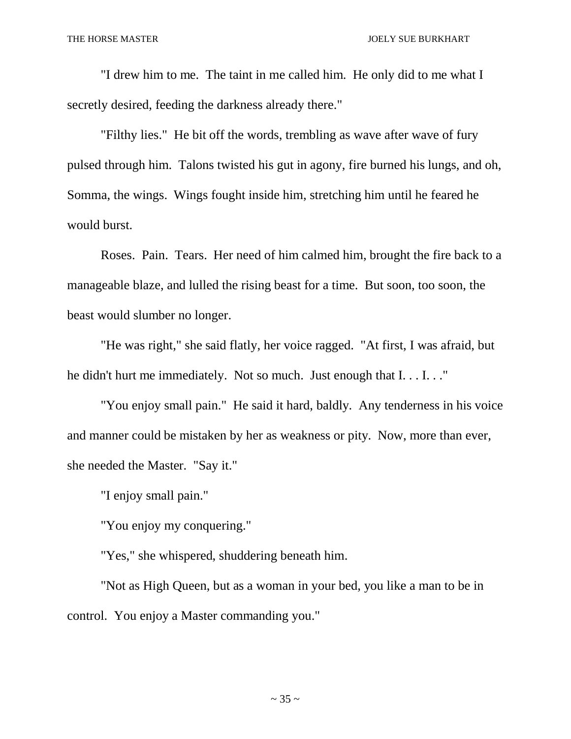"I drew him to me. The taint in me called him. He only did to me what I secretly desired, feeding the darkness already there."

"Filthy lies." He bit off the words, trembling as wave after wave of fury pulsed through him. Talons twisted his gut in agony, fire burned his lungs, and oh, Somma, the wings. Wings fought inside him, stretching him until he feared he would burst.

Roses. Pain. Tears. Her need of him calmed him, brought the fire back to a manageable blaze, and lulled the rising beast for a time. But soon, too soon, the beast would slumber no longer.

"He was right," she said flatly, her voice ragged. "At first, I was afraid, but he didn't hurt me immediately. Not so much. Just enough that I. . . I. . ."

"You enjoy small pain." He said it hard, baldly. Any tenderness in his voice and manner could be mistaken by her as weakness or pity. Now, more than ever, she needed the Master. "Say it."

"I enjoy small pain."

"You enjoy my conquering."

"Yes," she whispered, shuddering beneath him.

"Not as High Queen, but as a woman in your bed, you like a man to be in control. You enjoy a Master commanding you."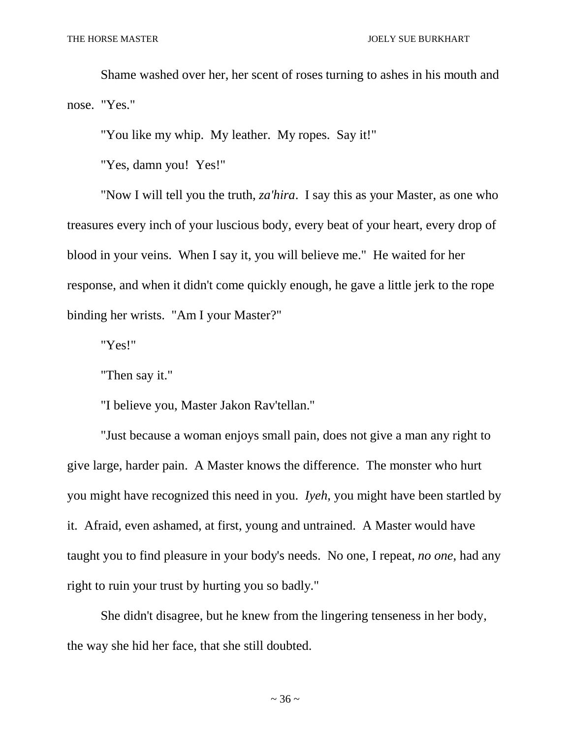Shame washed over her, her scent of roses turning to ashes in his mouth and nose. "Yes."

"You like my whip. My leather. My ropes. Say it!"

"Yes, damn you! Yes!"

"Now I will tell you the truth, *za'hira*. I say this as your Master, as one who treasures every inch of your luscious body, every beat of your heart, every drop of blood in your veins. When I say it, you will believe me." He waited for her response, and when it didn't come quickly enough, he gave a little jerk to the rope binding her wrists. "Am I your Master?"

"Yes!"

"Then say it."

"I believe you, Master Jakon Rav'tellan."

"Just because a woman enjoys small pain, does not give a man any right to give large, harder pain. A Master knows the difference. The monster who hurt you might have recognized this need in you. *Iyeh*, you might have been startled by it. Afraid, even ashamed, at first, young and untrained. A Master would have taught you to find pleasure in your body's needs. No one, I repeat, *no one*, had any right to ruin your trust by hurting you so badly."

She didn't disagree, but he knew from the lingering tenseness in her body, the way she hid her face, that she still doubted.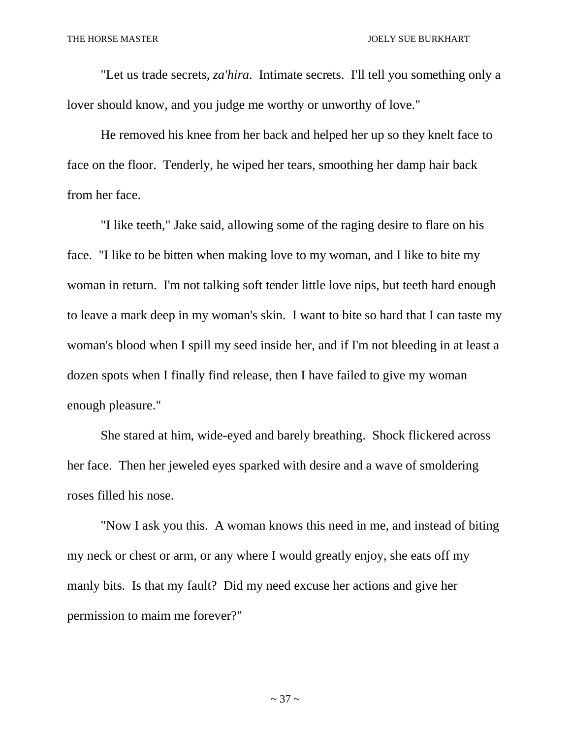"Let us trade secrets, *za'hira*. Intimate secrets. I'll tell you something only a lover should know, and you judge me worthy or unworthy of love."

He removed his knee from her back and helped her up so they knelt face to face on the floor. Tenderly, he wiped her tears, smoothing her damp hair back from her face.

"I like teeth," Jake said, allowing some of the raging desire to flare on his face. "I like to be bitten when making love to my woman, and I like to bite my woman in return. I'm not talking soft tender little love nips, but teeth hard enough to leave a mark deep in my woman's skin. I want to bite so hard that I can taste my woman's blood when I spill my seed inside her, and if I'm not bleeding in at least a dozen spots when I finally find release, then I have failed to give my woman enough pleasure."

She stared at him, wide-eyed and barely breathing. Shock flickered across her face. Then her jeweled eyes sparked with desire and a wave of smoldering roses filled his nose.

"Now I ask you this. A woman knows this need in me, and instead of biting my neck or chest or arm, or any where I would greatly enjoy, she eats off my manly bits. Is that my fault? Did my need excuse her actions and give her permission to maim me forever?"

 $~\sim$  37  $~\sim$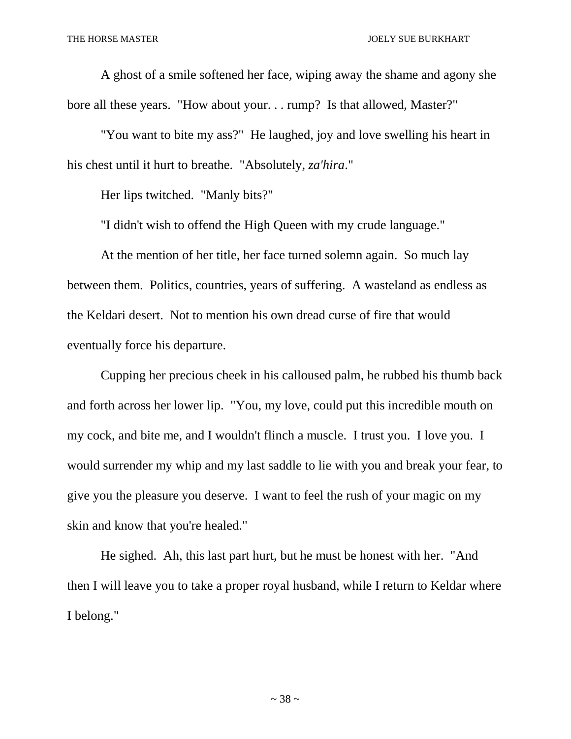A ghost of a smile softened her face, wiping away the shame and agony she bore all these years. "How about your. . . rump? Is that allowed, Master?"

"You want to bite my ass?" He laughed, joy and love swelling his heart in his chest until it hurt to breathe. "Absolutely, *za'hira*."

Her lips twitched. "Manly bits?"

"I didn't wish to offend the High Queen with my crude language."

At the mention of her title, her face turned solemn again. So much lay between them. Politics, countries, years of suffering. A wasteland as endless as the Keldari desert. Not to mention his own dread curse of fire that would eventually force his departure.

Cupping her precious cheek in his calloused palm, he rubbed his thumb back and forth across her lower lip. "You, my love, could put this incredible mouth on my cock, and bite me, and I wouldn't flinch a muscle. I trust you. I love you. I would surrender my whip and my last saddle to lie with you and break your fear, to give you the pleasure you deserve. I want to feel the rush of your magic on my skin and know that you're healed."

He sighed. Ah, this last part hurt, but he must be honest with her. "And then I will leave you to take a proper royal husband, while I return to Keldar where I belong."

 $\sim$  38  $\sim$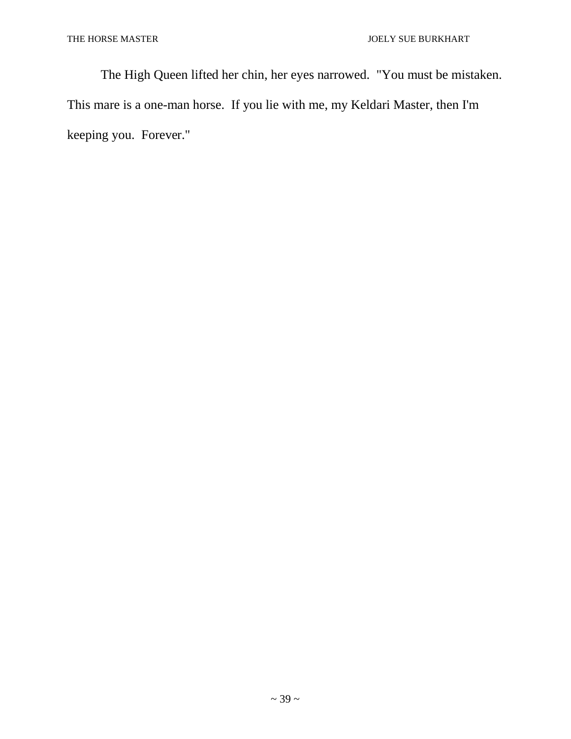The High Queen lifted her chin, her eyes narrowed. "You must be mistaken. This mare is a one-man horse. If you lie with me, my Keldari Master, then I'm keeping you. Forever."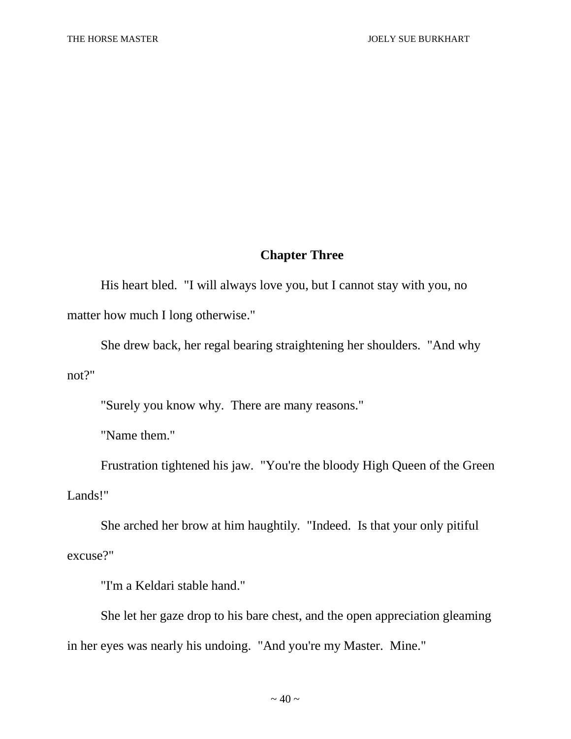#### **Chapter Three**

His heart bled. "I will always love you, but I cannot stay with you, no matter how much I long otherwise."

She drew back, her regal bearing straightening her shoulders. "And why not?"

"Surely you know why. There are many reasons."

"Name them."

Frustration tightened his jaw. "You're the bloody High Queen of the Green Lands!"

She arched her brow at him haughtily. "Indeed. Is that your only pitiful excuse?"

"I'm a Keldari stable hand."

She let her gaze drop to his bare chest, and the open appreciation gleaming in her eyes was nearly his undoing. "And you're my Master. Mine."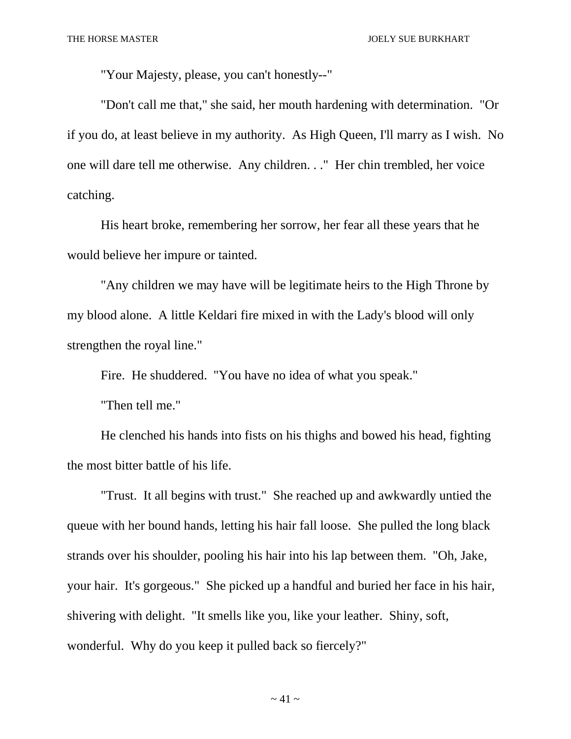"Your Majesty, please, you can't honestly--"

"Don't call me that," she said, her mouth hardening with determination. "Or if you do, at least believe in my authority. As High Queen, I'll marry as I wish. No one will dare tell me otherwise. Any children. . ." Her chin trembled, her voice catching.

His heart broke, remembering her sorrow, her fear all these years that he would believe her impure or tainted.

"Any children we may have will be legitimate heirs to the High Throne by my blood alone. A little Keldari fire mixed in with the Lady's blood will only strengthen the royal line."

Fire. He shuddered. "You have no idea of what you speak."

"Then tell me."

He clenched his hands into fists on his thighs and bowed his head, fighting the most bitter battle of his life.

"Trust. It all begins with trust." She reached up and awkwardly untied the queue with her bound hands, letting his hair fall loose. She pulled the long black strands over his shoulder, pooling his hair into his lap between them. "Oh, Jake, your hair. It's gorgeous." She picked up a handful and buried her face in his hair, shivering with delight. "It smells like you, like your leather. Shiny, soft, wonderful. Why do you keep it pulled back so fiercely?"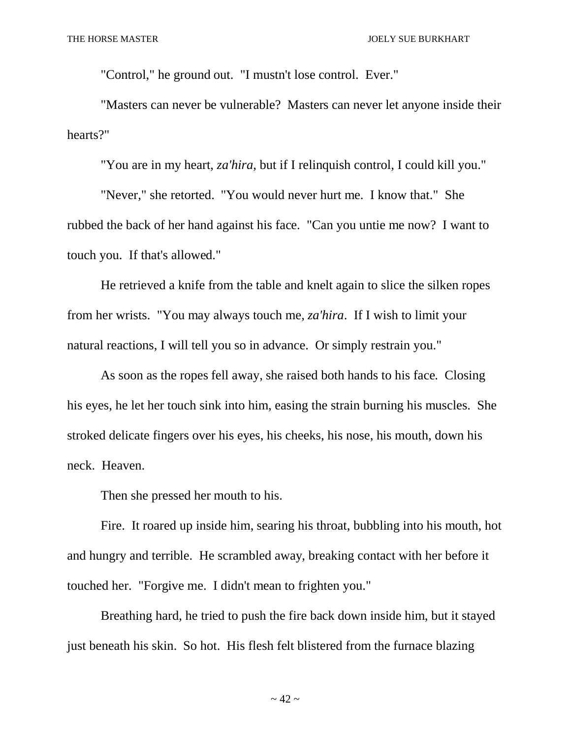"Control," he ground out. "I mustn't lose control. Ever."

"Masters can never be vulnerable? Masters can never let anyone inside their hearts?"

"You are in my heart, *za'hira*, but if I relinquish control, I could kill you."

"Never," she retorted. "You would never hurt me. I know that." She rubbed the back of her hand against his face. "Can you untie me now? I want to touch you. If that's allowed."

He retrieved a knife from the table and knelt again to slice the silken ropes from her wrists. "You may always touch me, *za'hira*. If I wish to limit your natural reactions, I will tell you so in advance. Or simply restrain you."

As soon as the ropes fell away, she raised both hands to his face. Closing his eyes, he let her touch sink into him, easing the strain burning his muscles. She stroked delicate fingers over his eyes, his cheeks, his nose, his mouth, down his neck. Heaven.

Then she pressed her mouth to his.

Fire. It roared up inside him, searing his throat, bubbling into his mouth, hot and hungry and terrible. He scrambled away, breaking contact with her before it touched her. "Forgive me. I didn't mean to frighten you."

Breathing hard, he tried to push the fire back down inside him, but it stayed just beneath his skin. So hot. His flesh felt blistered from the furnace blazing

 $\sim$  42  $\sim$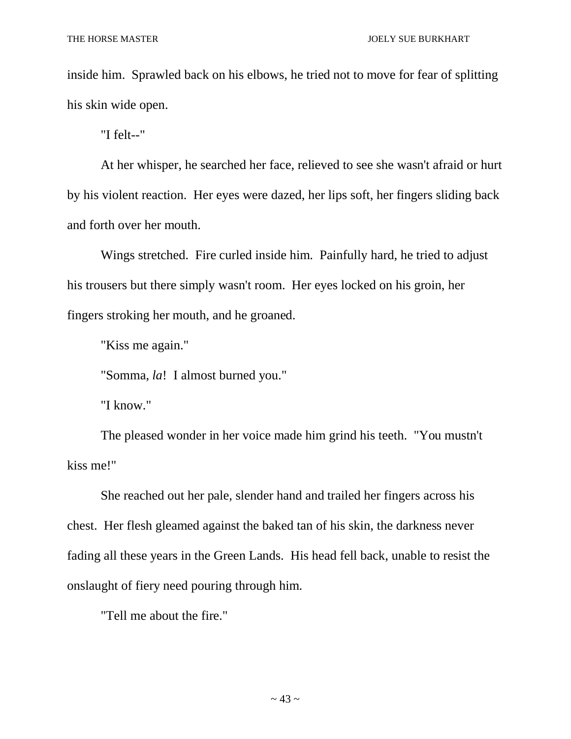inside him. Sprawled back on his elbows, he tried not to move for fear of splitting his skin wide open.

"I felt--"

At her whisper, he searched her face, relieved to see she wasn't afraid or hurt by his violent reaction. Her eyes were dazed, her lips soft, her fingers sliding back and forth over her mouth.

Wings stretched. Fire curled inside him. Painfully hard, he tried to adjust his trousers but there simply wasn't room. Her eyes locked on his groin, her fingers stroking her mouth, and he groaned.

"Kiss me again."

"Somma, *la*! I almost burned you."

"I know."

The pleased wonder in her voice made him grind his teeth. "You mustn't kiss me!"

She reached out her pale, slender hand and trailed her fingers across his chest. Her flesh gleamed against the baked tan of his skin, the darkness never fading all these years in the Green Lands. His head fell back, unable to resist the onslaught of fiery need pouring through him.

"Tell me about the fire."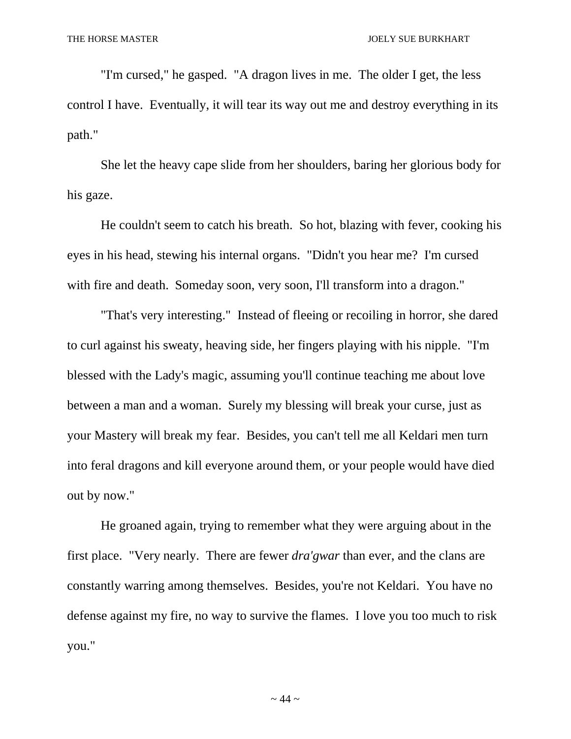"I'm cursed," he gasped. "A dragon lives in me. The older I get, the less control I have. Eventually, it will tear its way out me and destroy everything in its path."

She let the heavy cape slide from her shoulders, baring her glorious body for his gaze.

He couldn't seem to catch his breath. So hot, blazing with fever, cooking his eyes in his head, stewing his internal organs. "Didn't you hear me? I'm cursed with fire and death. Someday soon, very soon, I'll transform into a dragon."

"That's very interesting." Instead of fleeing or recoiling in horror, she dared to curl against his sweaty, heaving side, her fingers playing with his nipple. "I'm blessed with the Lady's magic, assuming you'll continue teaching me about love between a man and a woman. Surely my blessing will break your curse, just as your Mastery will break my fear. Besides, you can't tell me all Keldari men turn into feral dragons and kill everyone around them, or your people would have died out by now."

He groaned again, trying to remember what they were arguing about in the first place. "Very nearly. There are fewer *dra'gwar* than ever, and the clans are constantly warring among themselves. Besides, you're not Keldari. You have no defense against my fire, no way to survive the flames. I love you too much to risk you."

 $\sim$  44  $\sim$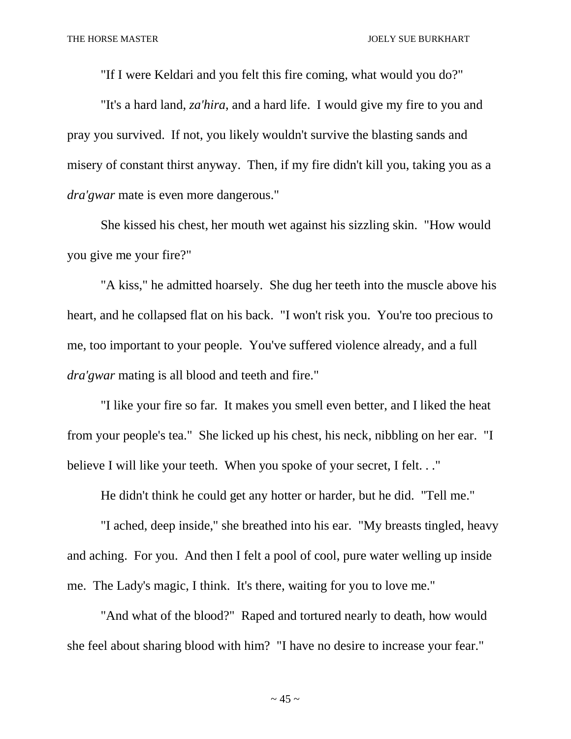"If I were Keldari and you felt this fire coming, what would you do?"

"It's a hard land, *za'hira*, and a hard life. I would give my fire to you and pray you survived. If not, you likely wouldn't survive the blasting sands and misery of constant thirst anyway. Then, if my fire didn't kill you, taking you as a *dra'gwar* mate is even more dangerous."

She kissed his chest, her mouth wet against his sizzling skin. "How would you give me your fire?"

"A kiss," he admitted hoarsely. She dug her teeth into the muscle above his heart, and he collapsed flat on his back. "I won't risk you. You're too precious to me, too important to your people. You've suffered violence already, and a full *dra'gwar* mating is all blood and teeth and fire."

"I like your fire so far. It makes you smell even better, and I liked the heat from your people's tea." She licked up his chest, his neck, nibbling on her ear. "I believe I will like your teeth. When you spoke of your secret, I felt. . ."

He didn't think he could get any hotter or harder, but he did. "Tell me."

"I ached, deep inside," she breathed into his ear. "My breasts tingled, heavy and aching. For you. And then I felt a pool of cool, pure water welling up inside me. The Lady's magic, I think. It's there, waiting for you to love me."

"And what of the blood?" Raped and tortured nearly to death, how would she feel about sharing blood with him? "I have no desire to increase your fear."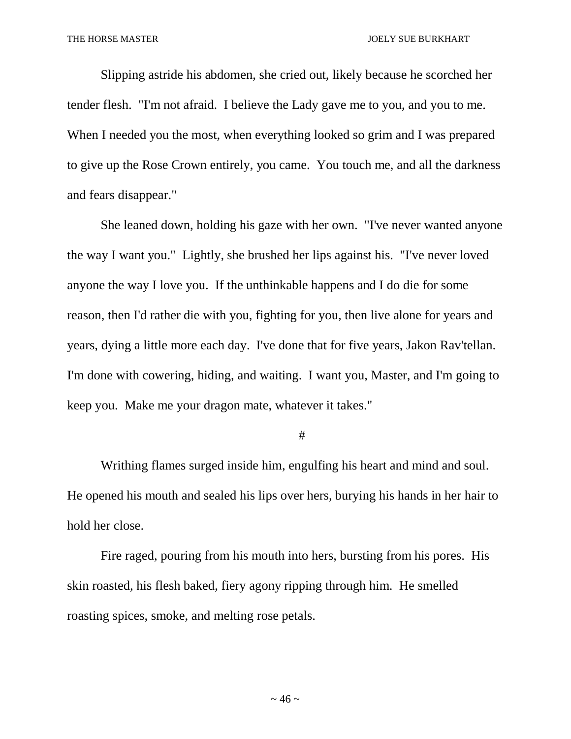Slipping astride his abdomen, she cried out, likely because he scorched her tender flesh. "I'm not afraid. I believe the Lady gave me to you, and you to me. When I needed you the most, when everything looked so grim and I was prepared to give up the Rose Crown entirely, you came. You touch me, and all the darkness and fears disappear."

She leaned down, holding his gaze with her own. "I've never wanted anyone the way I want you." Lightly, she brushed her lips against his. "I've never loved anyone the way I love you. If the unthinkable happens and I do die for some reason, then I'd rather die with you, fighting for you, then live alone for years and years, dying a little more each day. I've done that for five years, Jakon Rav'tellan. I'm done with cowering, hiding, and waiting. I want you, Master, and I'm going to keep you. Make me your dragon mate, whatever it takes."

#

Writhing flames surged inside him, engulfing his heart and mind and soul. He opened his mouth and sealed his lips over hers, burying his hands in her hair to hold her close.

Fire raged, pouring from his mouth into hers, bursting from his pores. His skin roasted, his flesh baked, fiery agony ripping through him. He smelled roasting spices, smoke, and melting rose petals.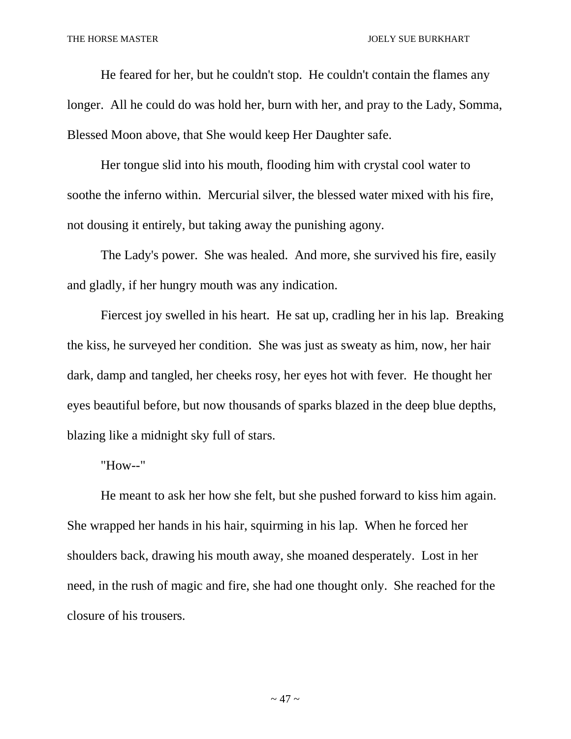He feared for her, but he couldn't stop. He couldn't contain the flames any longer. All he could do was hold her, burn with her, and pray to the Lady, Somma, Blessed Moon above, that She would keep Her Daughter safe.

Her tongue slid into his mouth, flooding him with crystal cool water to soothe the inferno within. Mercurial silver, the blessed water mixed with his fire, not dousing it entirely, but taking away the punishing agony.

The Lady's power. She was healed. And more, she survived his fire, easily and gladly, if her hungry mouth was any indication.

Fiercest joy swelled in his heart. He sat up, cradling her in his lap. Breaking the kiss, he surveyed her condition. She was just as sweaty as him, now, her hair dark, damp and tangled, her cheeks rosy, her eyes hot with fever. He thought her eyes beautiful before, but now thousands of sparks blazed in the deep blue depths, blazing like a midnight sky full of stars.

"How--"

He meant to ask her how she felt, but she pushed forward to kiss him again. She wrapped her hands in his hair, squirming in his lap. When he forced her shoulders back, drawing his mouth away, she moaned desperately. Lost in her need, in the rush of magic and fire, she had one thought only. She reached for the closure of his trousers.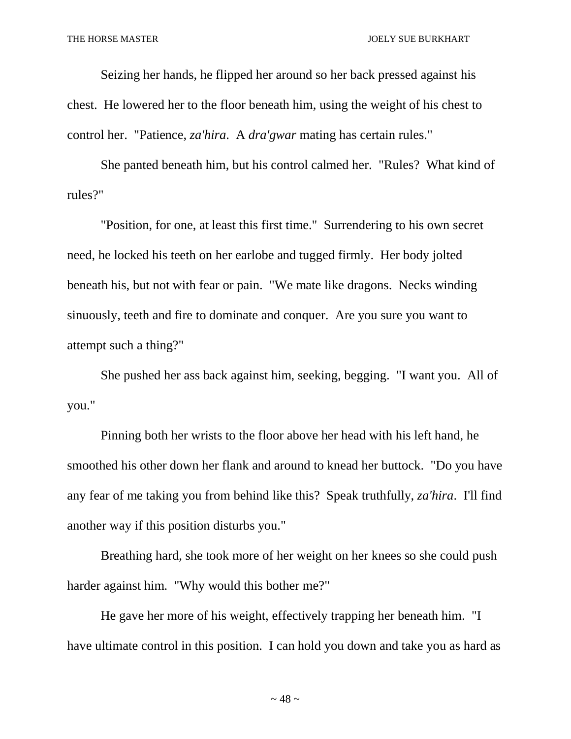Seizing her hands, he flipped her around so her back pressed against his chest. He lowered her to the floor beneath him, using the weight of his chest to control her. "Patience, *za'hira*. A *dra'gwar* mating has certain rules."

She panted beneath him, but his control calmed her. "Rules? What kind of rules?"

"Position, for one, at least this first time." Surrendering to his own secret need, he locked his teeth on her earlobe and tugged firmly. Her body jolted beneath his, but not with fear or pain. "We mate like dragons. Necks winding sinuously, teeth and fire to dominate and conquer. Are you sure you want to attempt such a thing?"

She pushed her ass back against him, seeking, begging. "I want you. All of you."

Pinning both her wrists to the floor above her head with his left hand, he smoothed his other down her flank and around to knead her buttock. "Do you have any fear of me taking you from behind like this? Speak truthfully, *za'hira*. I'll find another way if this position disturbs you."

Breathing hard, she took more of her weight on her knees so she could push harder against him. "Why would this bother me?"

He gave her more of his weight, effectively trapping her beneath him. "I have ultimate control in this position. I can hold you down and take you as hard as

 $\sim$  48  $\sim$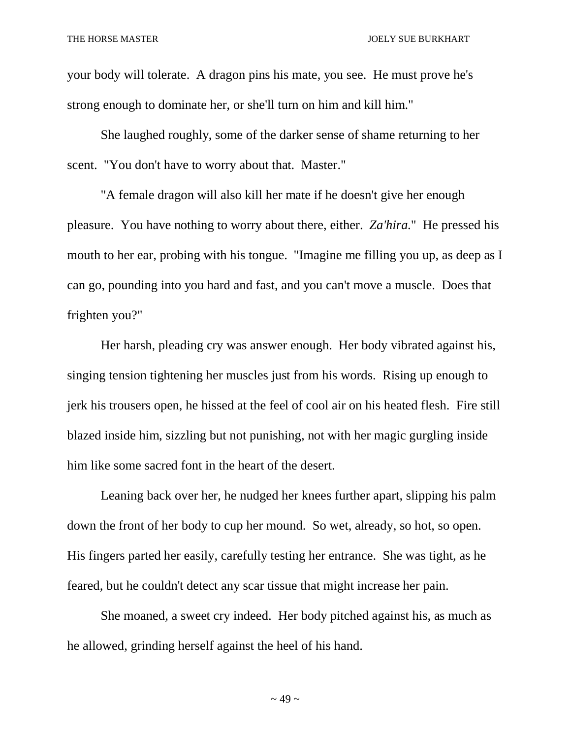your body will tolerate. A dragon pins his mate, you see. He must prove he's strong enough to dominate her, or she'll turn on him and kill him."

She laughed roughly, some of the darker sense of shame returning to her scent. "You don't have to worry about that. Master."

"A female dragon will also kill her mate if he doesn't give her enough pleasure. You have nothing to worry about there, either. *Za'hira*." He pressed his mouth to her ear, probing with his tongue. "Imagine me filling you up, as deep as I can go, pounding into you hard and fast, and you can't move a muscle. Does that frighten you?"

Her harsh, pleading cry was answer enough. Her body vibrated against his, singing tension tightening her muscles just from his words. Rising up enough to jerk his trousers open, he hissed at the feel of cool air on his heated flesh. Fire still blazed inside him, sizzling but not punishing, not with her magic gurgling inside him like some sacred font in the heart of the desert.

Leaning back over her, he nudged her knees further apart, slipping his palm down the front of her body to cup her mound. So wet, already, so hot, so open. His fingers parted her easily, carefully testing her entrance. She was tight, as he feared, but he couldn't detect any scar tissue that might increase her pain.

She moaned, a sweet cry indeed. Her body pitched against his, as much as he allowed, grinding herself against the heel of his hand.

 $\sim$  49  $\sim$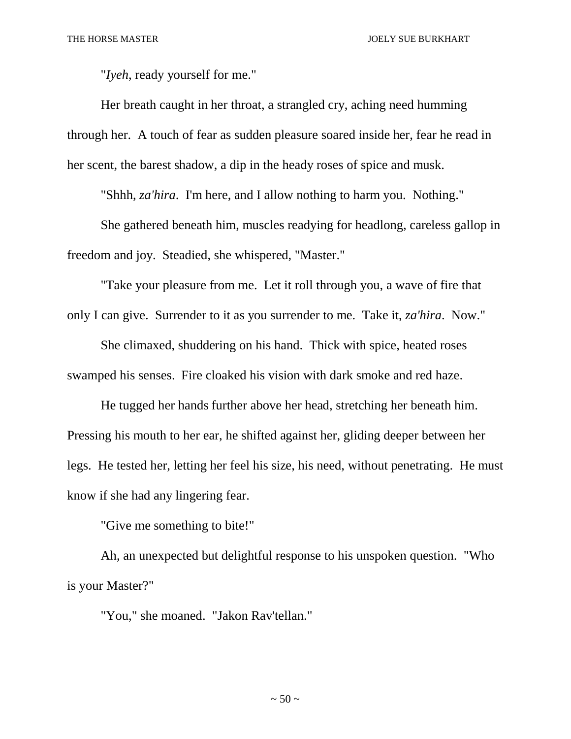"*Iyeh*, ready yourself for me."

Her breath caught in her throat, a strangled cry, aching need humming through her. A touch of fear as sudden pleasure soared inside her, fear he read in her scent, the barest shadow, a dip in the heady roses of spice and musk.

"Shhh, *za'hira*. I'm here, and I allow nothing to harm you. Nothing."

She gathered beneath him, muscles readying for headlong, careless gallop in freedom and joy. Steadied, she whispered, "Master."

"Take your pleasure from me. Let it roll through you, a wave of fire that only I can give. Surrender to it as you surrender to me. Take it, *za'hira*. Now."

She climaxed, shuddering on his hand. Thick with spice, heated roses swamped his senses. Fire cloaked his vision with dark smoke and red haze.

He tugged her hands further above her head, stretching her beneath him. Pressing his mouth to her ear, he shifted against her, gliding deeper between her legs. He tested her, letting her feel his size, his need, without penetrating. He must know if she had any lingering fear.

"Give me something to bite!"

Ah, an unexpected but delightful response to his unspoken question. "Who is your Master?"

"You," she moaned. "Jakon Rav'tellan."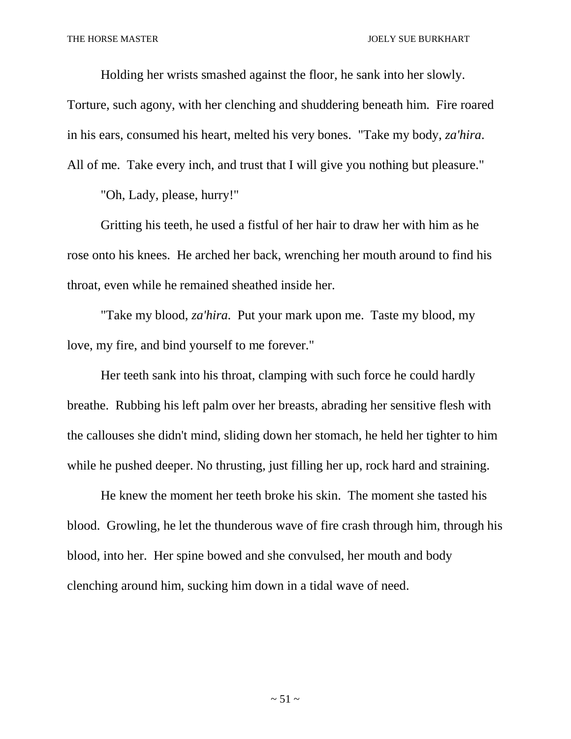Holding her wrists smashed against the floor, he sank into her slowly. Torture, such agony, with her clenching and shuddering beneath him. Fire roared in his ears, consumed his heart, melted his very bones. "Take my body, *za'hira*. All of me. Take every inch, and trust that I will give you nothing but pleasure."

"Oh, Lady, please, hurry!"

Gritting his teeth, he used a fistful of her hair to draw her with him as he rose onto his knees. He arched her back, wrenching her mouth around to find his throat, even while he remained sheathed inside her.

"Take my blood, *za'hira*. Put your mark upon me. Taste my blood, my love, my fire, and bind yourself to me forever."

Her teeth sank into his throat, clamping with such force he could hardly breathe. Rubbing his left palm over her breasts, abrading her sensitive flesh with the callouses she didn't mind, sliding down her stomach, he held her tighter to him while he pushed deeper. No thrusting, just filling her up, rock hard and straining.

He knew the moment her teeth broke his skin. The moment she tasted his blood. Growling, he let the thunderous wave of fire crash through him, through his blood, into her. Her spine bowed and she convulsed, her mouth and body clenching around him, sucking him down in a tidal wave of need.

 $\sim$  51  $\sim$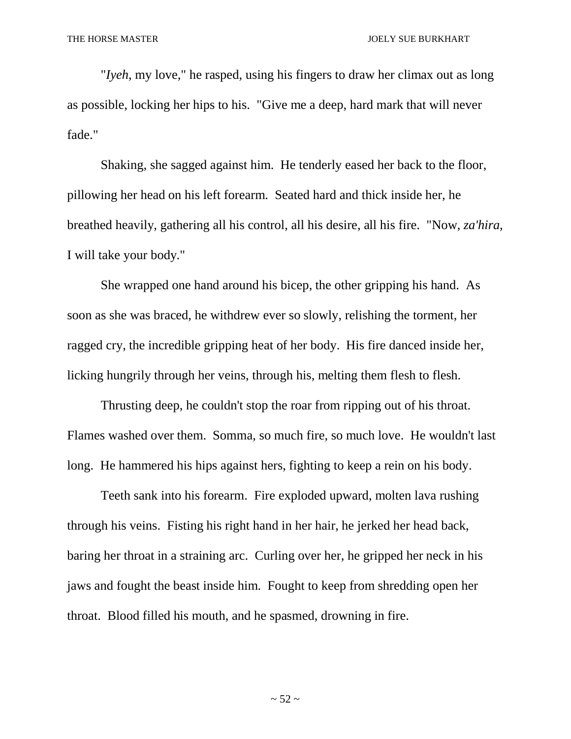"*Iyeh*, my love," he rasped, using his fingers to draw her climax out as long as possible, locking her hips to his. "Give me a deep, hard mark that will never fade."

Shaking, she sagged against him. He tenderly eased her back to the floor, pillowing her head on his left forearm. Seated hard and thick inside her, he breathed heavily, gathering all his control, all his desire, all his fire. "Now, *za'hira*, I will take your body."

She wrapped one hand around his bicep, the other gripping his hand. As soon as she was braced, he withdrew ever so slowly, relishing the torment, her ragged cry, the incredible gripping heat of her body. His fire danced inside her, licking hungrily through her veins, through his, melting them flesh to flesh.

Thrusting deep, he couldn't stop the roar from ripping out of his throat. Flames washed over them. Somma, so much fire, so much love. He wouldn't last long. He hammered his hips against hers, fighting to keep a rein on his body.

Teeth sank into his forearm. Fire exploded upward, molten lava rushing through his veins. Fisting his right hand in her hair, he jerked her head back, baring her throat in a straining arc. Curling over her, he gripped her neck in his jaws and fought the beast inside him. Fought to keep from shredding open her throat. Blood filled his mouth, and he spasmed, drowning in fire.

 $\sim$  52  $\sim$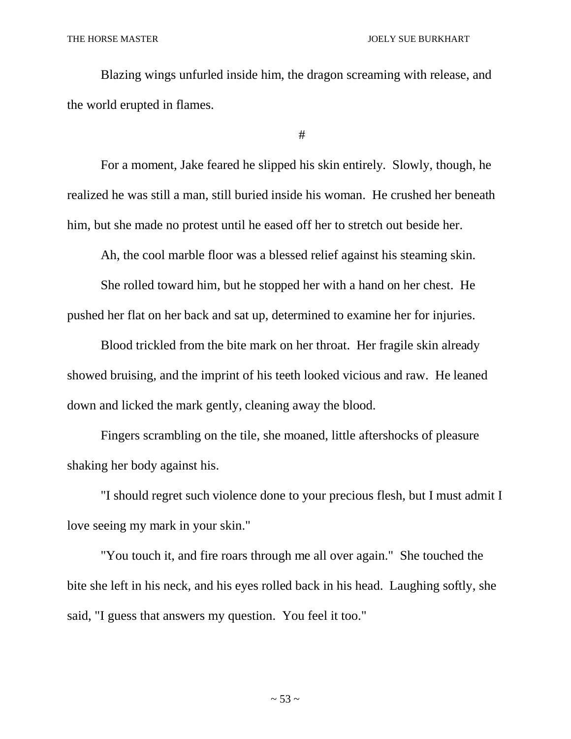Blazing wings unfurled inside him, the dragon screaming with release, and the world erupted in flames.

#

For a moment, Jake feared he slipped his skin entirely. Slowly, though, he realized he was still a man, still buried inside his woman. He crushed her beneath him, but she made no protest until he eased off her to stretch out beside her.

Ah, the cool marble floor was a blessed relief against his steaming skin.

She rolled toward him, but he stopped her with a hand on her chest. He pushed her flat on her back and sat up, determined to examine her for injuries.

Blood trickled from the bite mark on her throat. Her fragile skin already showed bruising, and the imprint of his teeth looked vicious and raw. He leaned down and licked the mark gently, cleaning away the blood.

Fingers scrambling on the tile, she moaned, little aftershocks of pleasure shaking her body against his.

"I should regret such violence done to your precious flesh, but I must admit I love seeing my mark in your skin."

"You touch it, and fire roars through me all over again." She touched the bite she left in his neck, and his eyes rolled back in his head. Laughing softly, she said, "I guess that answers my question. You feel it too."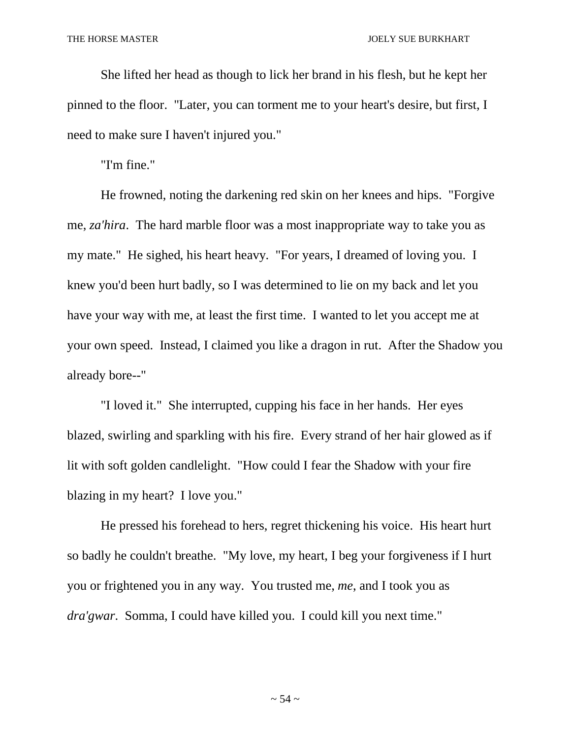She lifted her head as though to lick her brand in his flesh, but he kept her pinned to the floor. "Later, you can torment me to your heart's desire, but first, I need to make sure I haven't injured you."

"I'm fine."

He frowned, noting the darkening red skin on her knees and hips. "Forgive me, *za'hira*. The hard marble floor was a most inappropriate way to take you as my mate." He sighed, his heart heavy. "For years, I dreamed of loving you. I knew you'd been hurt badly, so I was determined to lie on my back and let you have your way with me, at least the first time. I wanted to let you accept me at your own speed. Instead, I claimed you like a dragon in rut. After the Shadow you already bore--"

"I loved it." She interrupted, cupping his face in her hands. Her eyes blazed, swirling and sparkling with his fire. Every strand of her hair glowed as if lit with soft golden candlelight. "How could I fear the Shadow with your fire blazing in my heart? I love you."

He pressed his forehead to hers, regret thickening his voice. His heart hurt so badly he couldn't breathe. "My love, my heart, I beg your forgiveness if I hurt you or frightened you in any way. You trusted me, *me*, and I took you as *dra'gwar*. Somma, I could have killed you. I could kill you next time."

 $\sim$  54  $\sim$